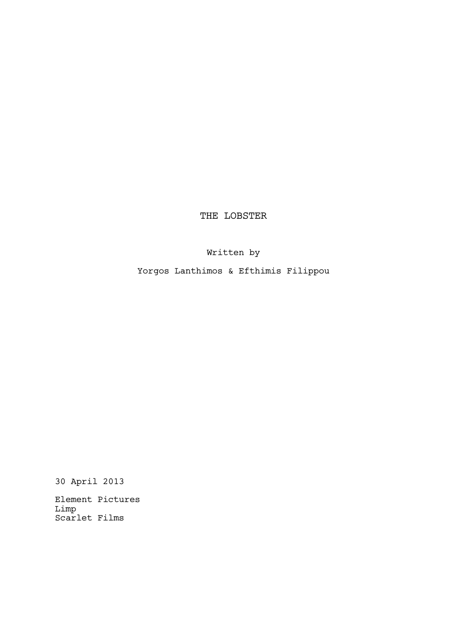THE LOBSTER

Written by

Yorgos Lanthimos & Efthimis Filippou

30 April 2013

Element Pictures Limp Scarlet Films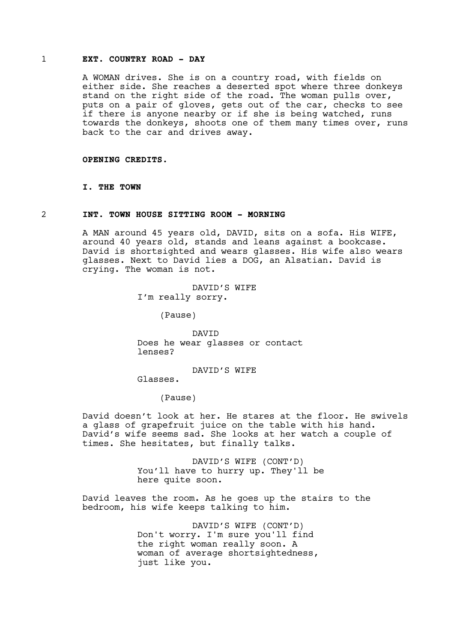# 1 **EXT. COUNTRY ROAD - DAY**

A WOMAN drives. She is on a country road, with fields on either side. She reaches a deserted spot where three donkeys stand on the right side of the road. The woman pulls over, puts on a pair of gloves, gets out of the car, checks to see if there is anyone nearby or if she is being watched, runs towards the donkeys, shoots one of them many times over, runs back to the car and drives away.

**OPENING CREDITS.**

**I. THE TOWN**

## 2 **INT. TOWN HOUSE SITTING ROOM - MORNING**

A MAN around 45 years old, DAVID, sits on a sofa. His WIFE, around 40 years old, stands and leans against a bookcase. David is shortsighted and wears glasses. His wife also wears glasses. Next to David lies a DOG, an Alsatian. David is crying. The woman is not.

> DAVID'S WIFE I'm really sorry.

> > (Pause)

DAVID Does he wear glasses or contact lenses?

DAVID'S WIFE

Glasses.

(Pause)

David doesn't look at her. He stares at the floor. He swivels a glass of grapefruit juice on the table with his hand. David's wife seems sad. She looks at her watch a couple of times. She hesitates, but finally talks.

> DAVID'S WIFE (CONT'D) You'll have to hurry up. They'll be here quite soon.

David leaves the room. As he goes up the stairs to the bedroom, his wife keeps talking to him.

> DAVID'S WIFE (CONT'D) Don't worry. I'm sure you'll find the right woman really soon. A woman of average shortsightedness, just like you.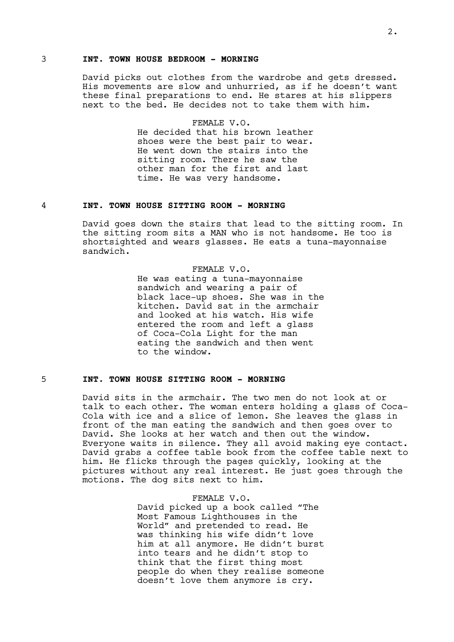# 3 **INT. TOWN HOUSE BEDROOM - MORNING**

David picks out clothes from the wardrobe and gets dressed. His movements are slow and unhurried, as if he doesn't want these final preparations to end. He stares at his slippers next to the bed. He decides not to take them with him.

# FEMALE V.O.

He decided that his brown leather shoes were the best pair to wear. He went down the stairs into the sitting room. There he saw the other man for the first and last time. He was very handsome.

# 4 **INT. TOWN HOUSE SITTING ROOM - MORNING**

David goes down the stairs that lead to the sitting room. In the sitting room sits a MAN who is not handsome. He too is shortsighted and wears glasses. He eats a tuna-mayonnaise sandwich.

#### FEMALE V.O.

He was eating a tuna-mayonnaise sandwich and wearing a pair of black lace-up shoes. She was in the kitchen. David sat in the armchair and looked at his watch. His wife entered the room and left a glass of Coca-Cola Light for the man eating the sandwich and then went to the window.

# 5 **INT. TOWN HOUSE SITTING ROOM - MORNING**

David sits in the armchair. The two men do not look at or talk to each other. The woman enters holding a glass of Coca-Cola with ice and a slice of lemon. She leaves the glass in front of the man eating the sandwich and then goes over to David. She looks at her watch and then out the window. Everyone waits in silence. They all avoid making eye contact. David grabs a coffee table book from the coffee table next to him. He flicks through the pages quickly, looking at the pictures without any real interest. He just goes through the motions. The dog sits next to him.

#### FEMALE V.O.

David picked up a book called "The Most Famous Lighthouses in the World" and pretended to read. He was thinking his wife didn't love him at all anymore. He didn't burst into tears and he didn't stop to think that the first thing most people do when they realise someone doesn't love them anymore is cry.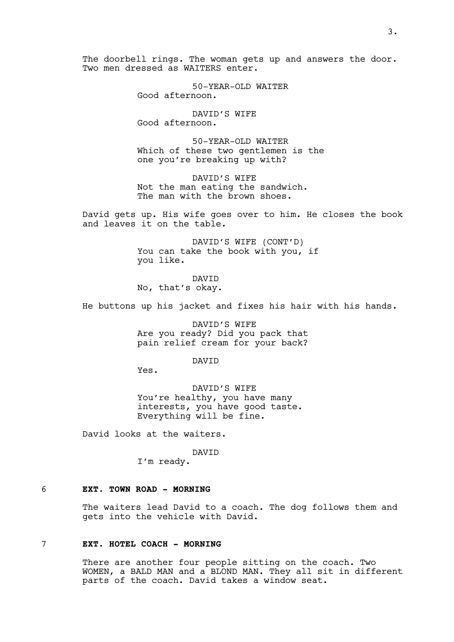The doorbell rings. The woman gets up and answers the door. Two men dressed as WAITERS enter.

> 50-YEAR-OLD WAITER Good afternoon.

DAVID'S WIFE Good afternoon.

50-YEAR-OLD WAITER Which of these two gentlemen is the one you're breaking up with?

DAVID'S WIFE Not the man eating the sandwich. The man with the brown shoes.

David gets up. His wife goes over to him. He closes the book and leaves it on the table.

> DAVID'S WIFE (CONT'D) You can take the book with you, if you like.

DAVID No, that's okay.

He buttons up his jacket and fixes his hair with his hands.

DAVID'S WIFE Are you ready? Did you pack that pain relief cream for your back?

DAVID

Yes.

DAVID'S WIFE You're healthy, you have many interests, you have good taste. Everything will be fine.

David looks at the waiters.

DAVID I'm ready.

## 6 **EXT. TOWN ROAD - MORNING**

The waiters lead David to a coach. The dog follows them and gets into the vehicle with David.

#### 7 **EXT. HOTEL COACH - MORNING**

There are another four people sitting on the coach. Two WOMEN, a BALD MAN and a BLOND MAN. They all sit in different parts of the coach. David takes a window seat.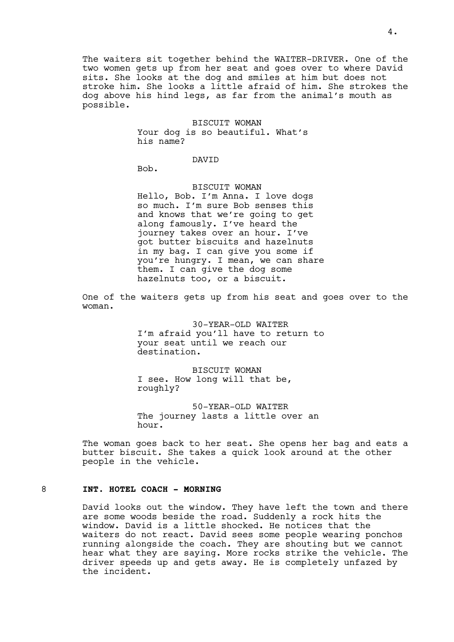The waiters sit together behind the WAITER-DRIVER. One of the two women gets up from her seat and goes over to where David sits. She looks at the dog and smiles at him but does not stroke him. She looks a little afraid of him. She strokes the dog above his hind legs, as far from the animal's mouth as possible.

#### BISCUIT WOMAN

Your dog is so beautiful. What's his name?

DAVID

Bob.

# BISCUIT WOMAN

Hello, Bob. I'm Anna. I love dogs so much. I'm sure Bob senses this and knows that we're going to get along famously. I've heard the journey takes over an hour. I've got butter biscuits and hazelnuts in my bag. I can give you some if you're hungry. I mean, we can share them. I can give the dog some hazelnuts too, or a biscuit.

One of the waiters gets up from his seat and goes over to the woman.

> 30-YEAR-OLD WAITER I'm afraid you'll have to return to your seat until we reach our destination.

BISCUIT WOMAN I see. How long will that be, roughly?

50-YEAR-OLD WAITER The journey lasts a little over an hour.

The woman goes back to her seat. She opens her bag and eats a butter biscuit. She takes a quick look around at the other people in the vehicle.

## 8 **INT. HOTEL COACH - MORNING**

David looks out the window. They have left the town and there are some woods beside the road. Suddenly a rock hits the window. David is a little shocked. He notices that the waiters do not react. David sees some people wearing ponchos running alongside the coach. They are shouting but we cannot hear what they are saying. More rocks strike the vehicle. The driver speeds up and gets away. He is completely unfazed by the incident.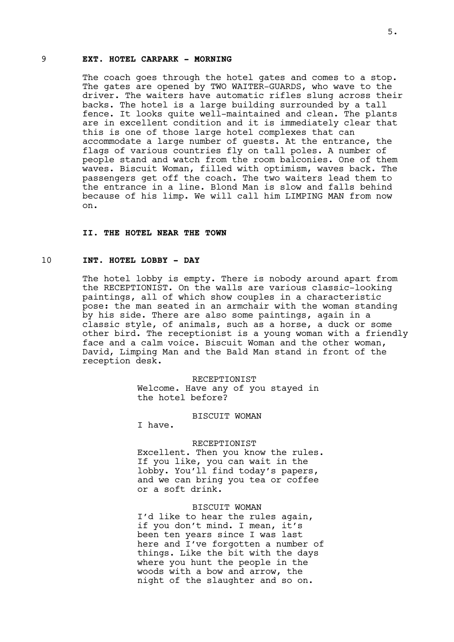# 9 **EXT. HOTEL CARPARK - MORNING**

The coach goes through the hotel gates and comes to a stop. The gates are opened by TWO WAITER-GUARDS, who wave to the driver. The waiters have automatic rifles slung across their backs. The hotel is a large building surrounded by a tall fence. It looks quite well-maintained and clean. The plants are in excellent condition and it is immediately clear that this is one of those large hotel complexes that can accommodate a large number of guests. At the entrance, the flags of various countries fly on tall poles. A number of people stand and watch from the room balconies. One of them waves. Biscuit Woman, filled with optimism, waves back. The passengers get off the coach. The two waiters lead them to the entrance in a line. Blond Man is slow and falls behind because of his limp. We will call him LIMPING MAN from now on.

#### **II. THE HOTEL NEAR THE TOWN**

## 10 **INT. HOTEL LOBBY - DAY**

The hotel lobby is empty. There is nobody around apart from the RECEPTIONIST. On the walls are various classic-looking paintings, all of which show couples in a characteristic pose: the man seated in an armchair with the woman standing by his side. There are also some paintings, again in a classic style, of animals, such as a horse, a duck or some other bird. The receptionist is a young woman with a friendly face and a calm voice. Biscuit Woman and the other woman, David, Limping Man and the Bald Man stand in front of the reception desk.

> RECEPTIONIST Welcome. Have any of you stayed in the hotel before?

#### BISCUIT WOMAN

I have.

#### RECEPTIONIST

Excellent. Then you know the rules. If you like, you can wait in the lobby. You'll find today's papers, and we can bring you tea or coffee or a soft drink.

#### BISCUIT WOMAN

I'd like to hear the rules again, if you don't mind. I mean, it's been ten years since I was last here and I've forgotten a number of things. Like the bit with the days where you hunt the people in the woods with a bow and arrow, the night of the slaughter and so on.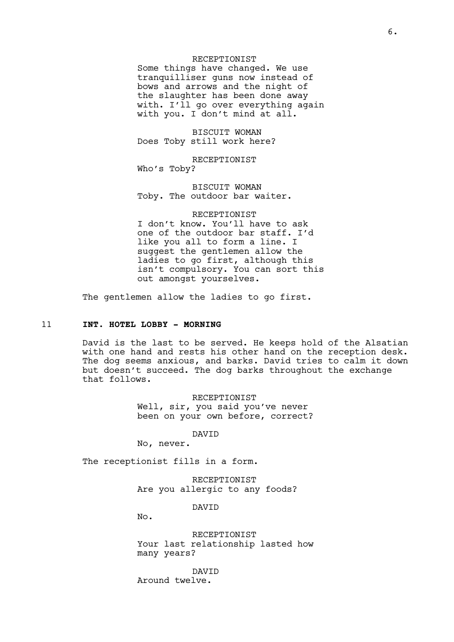#### RECEPTIONIST

Some things have changed. We use tranquilliser guns now instead of bows and arrows and the night of the slaughter has been done away with. I'll go over everything again with you. I don't mind at all.

BISCUIT WOMAN Does Toby still work here?

RECEPTIONIST Who's Toby?

BISCUIT WOMAN Toby. The outdoor bar waiter.

## RECEPTIONIST

I don't know. You'll have to ask one of the outdoor bar staff. I'd like you all to form a line. I suggest the gentlemen allow the ladies to go first, although this isn't compulsory. You can sort this out amongst yourselves.

The gentlemen allow the ladies to go first.

# 11 **INT. HOTEL LOBBY - MORNING**

David is the last to be served. He keeps hold of the Alsatian with one hand and rests his other hand on the reception desk. The dog seems anxious, and barks. David tries to calm it down but doesn't succeed. The dog barks throughout the exchange that follows.

> RECEPTIONIST Well, sir, you said you've never been on your own before, correct?

> > DAVID

No, never.

The receptionist fills in a form.

RECEPTIONIST Are you allergic to any foods?

DAVID

No.

RECEPTIONIST Your last relationship lasted how many years?

DAVID Around twelve.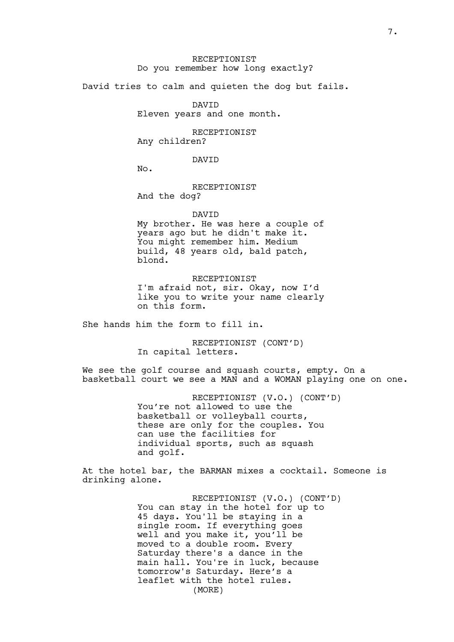# RECEPTIONIST Do you remember how long exactly?

David tries to calm and quieten the dog but fails.

DAVID Eleven years and one month.

RECEPTIONIST Any children?

DAVID

No.

RECEPTIONIST And the dog?

DAVID

My brother. He was here a couple of years ago but he didn't make it. You might remember him. Medium build, 48 years old, bald patch, blond.

RECEPTIONIST I'm afraid not, sir. Okay, now I'd like you to write your name clearly on this form.

She hands him the form to fill in.

RECEPTIONIST (CONT'D) In capital letters.

We see the golf course and squash courts, empty. On a basketball court we see a MAN and a WOMAN playing one on one.

> RECEPTIONIST (V.O.) (CONT'D) You're not allowed to use the basketball or volleyball courts, these are only for the couples. You can use the facilities for individual sports, such as squash and golf.

At the hotel bar, the BARMAN mixes a cocktail. Someone is drinking alone.

> RECEPTIONIST (V.O.) (CONT'D) You can stay in the hotel for up to 45 days. You'll be staying in a single room. If everything goes well and you make it, you'll be moved to a double room. Every Saturday there's a dance in the main hall. You're in luck, because tomorrow's Saturday. Here's a leaflet with the hotel rules. (MORE)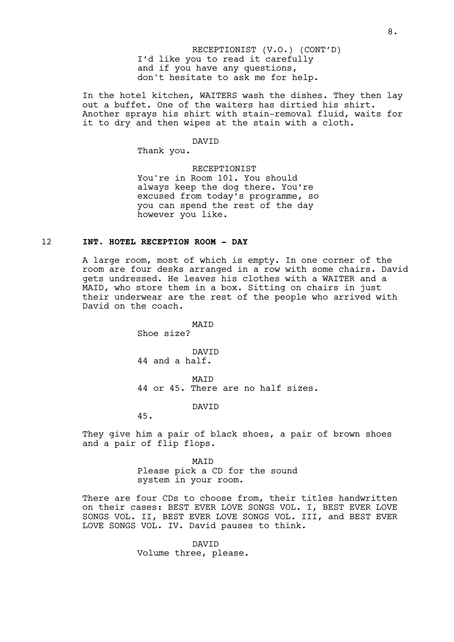I'd like you to read it carefully and if you have any questions, don't hesitate to ask me for help. RECEPTIONIST (V.O.) (CONT'D)

In the hotel kitchen, WAITERS wash the dishes. They then lay out a buffet. One of the waiters has dirtied his shirt. Another sprays his shirt with stain-removal fluid, waits for it to dry and then wipes at the stain with a cloth.

#### DAVID

Thank you.

RECEPTIONIST You're in Room 101. You should always keep the dog there. You're excused from today's programme, so you can spend the rest of the day however you like.

#### 12 **INT. HOTEL RECEPTION ROOM - DAY**

A large room, most of which is empty. In one corner of the room are four desks arranged in a row with some chairs. David gets undressed. He leaves his clothes with a WAITER and a MAID, who store them in a box. Sitting on chairs in just their underwear are the rest of the people who arrived with David on the coach.

> MAID Shoe size?

DAVID 44 and a half.

MAID 44 or 45. There are no half sizes.

DAVID

45.

They give him a pair of black shoes, a pair of brown shoes and a pair of flip flops.

> MAID Please pick a CD for the sound system in your room.

There are four CDs to choose from, their titles handwritten on their cases: BEST EVER LOVE SONGS VOL. I, BEST EVER LOVE SONGS VOL. II, BEST EVER LOVE SONGS VOL. III, and BEST EVER LOVE SONGS VOL. IV. David pauses to think.

> DAVID Volume three, please.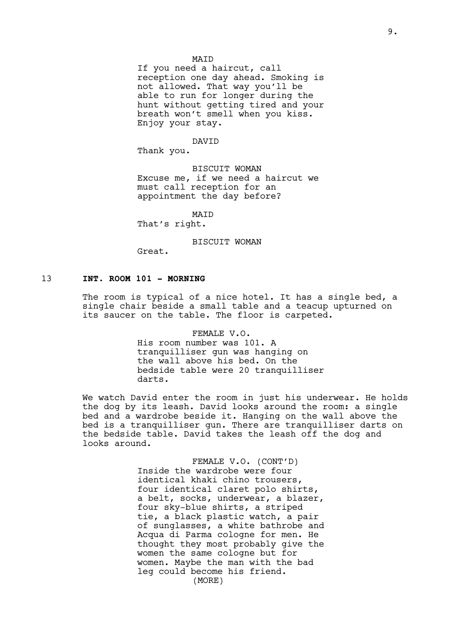#### MAID

If you need a haircut, call reception one day ahead. Smoking is not allowed. That way you'll be able to run for longer during the hunt without getting tired and your breath won't smell when you kiss. Enjoy your stay.

#### DAVID

Thank you.

BISCUIT WOMAN Excuse me, if we need a haircut we must call reception for an appointment the day before?

MAID

That's right.

BISCUIT WOMAN

Great.

## 13 **INT. ROOM 101 - MORNING**

The room is typical of a nice hotel. It has a single bed, a single chair beside a small table and a teacup upturned on its saucer on the table. The floor is carpeted.

> FEMALE V.O. His room number was 101. A tranquilliser gun was hanging on the wall above his bed. On the bedside table were 20 tranquilliser darts.

We watch David enter the room in just his underwear. He holds the dog by its leash. David looks around the room: a single bed and a wardrobe beside it. Hanging on the wall above the bed is a tranquilliser gun. There are tranquilliser darts on the bedside table. David takes the leash off the dog and looks around.

> FEMALE V.O. (CONT'D) Inside the wardrobe were four identical khaki chino trousers, four identical claret polo shirts, a belt, socks, underwear, a blazer, four sky-blue shirts, a striped tie, a black plastic watch, a pair of sunglasses, a white bathrobe and Acqua di Parma cologne for men. He thought they most probably give the women the same cologne but for women. Maybe the man with the bad leg could become his friend. (MORE)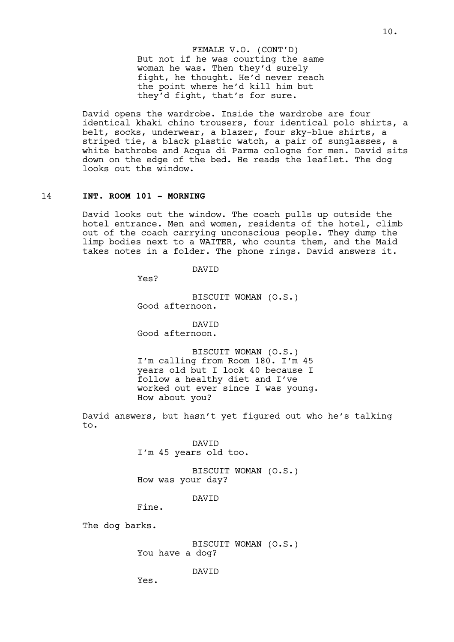But not if he was courting the same woman he was. Then they'd surely fight, he thought. He'd never reach the point where he'd kill him but they'd fight, that's for sure. FEMALE V.O. (CONT'D)

David opens the wardrobe. Inside the wardrobe are four identical khaki chino trousers, four identical polo shirts, a belt, socks, underwear, a blazer, four sky-blue shirts, a striped tie, a black plastic watch, a pair of sunglasses, a white bathrobe and Acqua di Parma cologne for men. David sits down on the edge of the bed. He reads the leaflet. The dog looks out the window.

# 14 **INT. ROOM 101 - MORNING**

David looks out the window. The coach pulls up outside the hotel entrance. Men and women, residents of the hotel, climb out of the coach carrying unconscious people. They dump the limp bodies next to a WAITER, who counts them, and the Maid takes notes in a folder. The phone rings. David answers it.

DAVID

Yes?

BISCUIT WOMAN (O.S.) Good afternoon.

DAVID Good afternoon.

BISCUIT WOMAN (O.S.) I'm calling from Room 180. I'm 45 years old but I look 40 because I follow a healthy diet and I've worked out ever since I was young. How about you?

David answers, but hasn't yet figured out who he's talking to.

> DAVID I'm 45 years old too.

BISCUIT WOMAN (O.S.) How was your day?

DAVID

Fine.

The dog barks.

BISCUIT WOMAN (O.S.) You have a dog?

DAVID

Yes.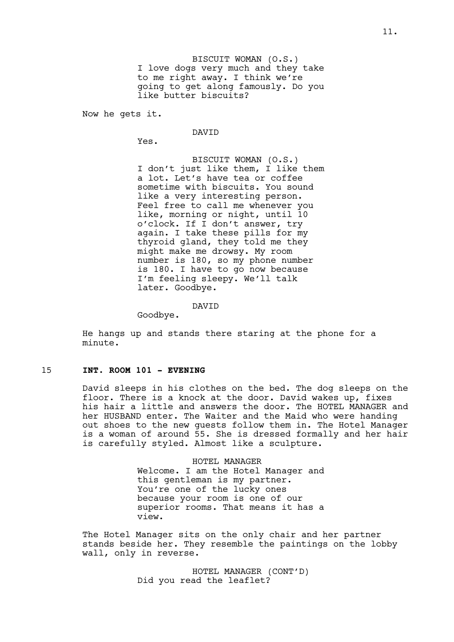BISCUIT WOMAN (O.S.) I love dogs very much and they take to me right away. I think we're going to get along famously. Do you like butter biscuits?

Now he gets it.

DAVID

Yes.

BISCUIT WOMAN (O.S.) I don't just like them, I like them a lot. Let's have tea or coffee sometime with biscuits. You sound like a very interesting person. Feel free to call me whenever you like, morning or night, until 10 o'clock. If I don't answer, try again. I take these pills for my thyroid gland, they told me they might make me drowsy. My room number is 180, so my phone number is 180. I have to go now because I'm feeling sleepy. We'll talk later. Goodbye.

DAVID

Goodbye.

He hangs up and stands there staring at the phone for a minute.

## 15 **INT. ROOM 101 - EVENING**

David sleeps in his clothes on the bed. The dog sleeps on the floor. There is a knock at the door. David wakes up, fixes his hair a little and answers the door. The HOTEL MANAGER and her HUSBAND enter. The Waiter and the Maid who were handing out shoes to the new guests follow them in. The Hotel Manager is a woman of around 55. She is dressed formally and her hair is carefully styled. Almost like a sculpture.

> HOTEL MANAGER Welcome. I am the Hotel Manager and this gentleman is my partner. You're one of the lucky ones because your room is one of our superior rooms. That means it has a view.

The Hotel Manager sits on the only chair and her partner stands beside her. They resemble the paintings on the lobby wall, only in reverse.

> HOTEL MANAGER (CONT'D) Did you read the leaflet?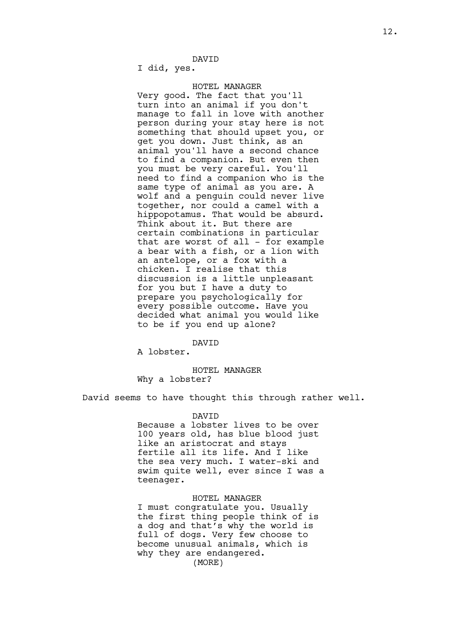I did, yes.

#### HOTEL MANAGER

Very good. The fact that you'll turn into an animal if you don't manage to fall in love with another person during your stay here is not something that should upset you, or get you down. Just think, as an animal you'll have a second chance to find a companion. But even then you must be very careful. You'll need to find a companion who is the same type of animal as you are. A wolf and a penguin could never live together, nor could a camel with a hippopotamus. That would be absurd. Think about it. But there are certain combinations in particular that are worst of all - for example a bear with a fish, or a lion with an antelope, or a fox with a chicken. I realise that this discussion is a little unpleasant for you but I have a duty to prepare you psychologically for every possible outcome. Have you decided what animal you would like to be if you end up alone?

#### DAVID

A lobster.

# HOTEL MANAGER Why a lobster?

David seems to have thought this through rather well.

#### DAVID

Because a lobster lives to be over 100 years old, has blue blood just like an aristocrat and stays fertile all its life. And I like the sea very much. I water-ski and swim quite well, ever since I was a teenager.

HOTEL MANAGER I must congratulate you. Usually the first thing people think of is a dog and that's why the world is full of dogs. Very few choose to become unusual animals, which is why they are endangered. (MORE)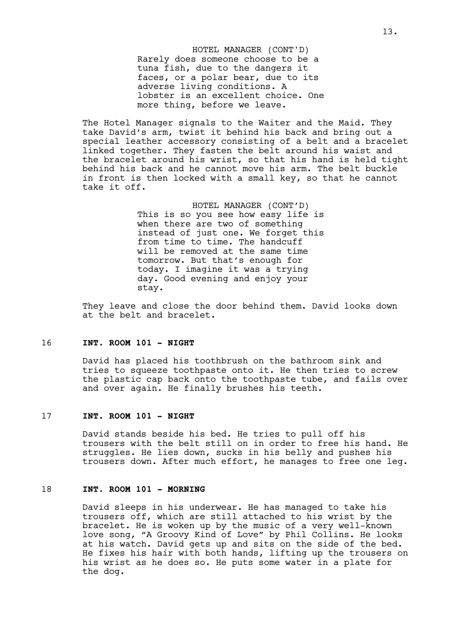Rarely does someone choose to be a tuna fish, due to the dangers it faces, or a polar bear, due to its adverse living conditions. A lobster is an excellent choice. One more thing, before we leave. HOTEL MANAGER (CONT'D)

The Hotel Manager signals to the Waiter and the Maid. They take David's arm, twist it behind his back and bring out a special leather accessory consisting of a belt and a bracelet linked together. They fasten the belt around his waist and the bracelet around his wrist, so that his hand is held tight behind his back and he cannot move his arm. The belt buckle in front is then locked with a small key, so that he cannot take it off.

> HOTEL MANAGER (CONT'D) This is so you see how easy life is when there are two of something instead of just one. We forget this from time to time. The handcuff will be removed at the same time tomorrow. But that's enough for today. I imagine it was a trying day. Good evening and enjoy your stay.

They leave and close the door behind them. David looks down at the belt and bracelet.

#### 16 **INT. ROOM 101 - NIGHT**

David has placed his toothbrush on the bathroom sink and tries to squeeze toothpaste onto it. He then tries to screw the plastic cap back onto the toothpaste tube, and fails over and over again. He finally brushes his teeth.

# 17 **INT. ROOM 101 - NIGHT**

David stands beside his bed. He tries to pull off his trousers with the belt still on in order to free his hand. He struggles. He lies down, sucks in his belly and pushes his trousers down. After much effort, he manages to free one leg.

## 18 **INT. ROOM 101 - MORNING**

David sleeps in his underwear. He has managed to take his trousers off, which are still attached to his wrist by the bracelet. He is woken up by the music of a very well-known love song, "A Groovy Kind of Love" by Phil Collins. He looks at his watch. David gets up and sits on the side of the bed. He fixes his hair with both hands, lifting up the trousers on his wrist as he does so. He puts some water in a plate for the dog.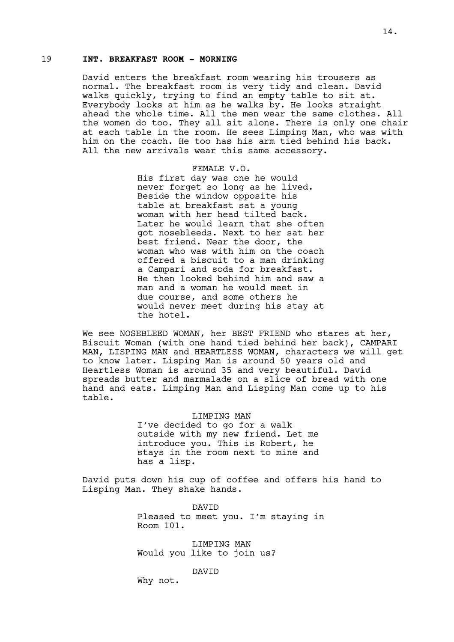# 19 **INT. BREAKFAST ROOM - MORNING**

David enters the breakfast room wearing his trousers as normal. The breakfast room is very tidy and clean. David walks quickly, trying to find an empty table to sit at. Everybody looks at him as he walks by. He looks straight ahead the whole time. All the men wear the same clothes. All the women do too. They all sit alone. There is only one chair at each table in the room. He sees Limping Man, who was with him on the coach. He too has his arm tied behind his back. All the new arrivals wear this same accessory.

> FEMALE V.O. His first day was one he would never forget so long as he lived. Beside the window opposite his table at breakfast sat a young woman with her head tilted back. Later he would learn that she often got nosebleeds. Next to her sat her best friend. Near the door, the woman who was with him on the coach offered a biscuit to a man drinking a Campari and soda for breakfast. He then looked behind him and saw a man and a woman he would meet in due course, and some others he would never meet during his stay at the hotel.

We see NOSEBLEED WOMAN, her BEST FRIEND who stares at her, Biscuit Woman (with one hand tied behind her back), CAMPARI MAN, LISPING MAN and HEARTLESS WOMAN, characters we will get to know later. Lisping Man is around 50 years old and Heartless Woman is around 35 and very beautiful. David spreads butter and marmalade on a slice of bread with one hand and eats. Limping Man and Lisping Man come up to his table.

#### LIMPING MAN

I've decided to go for a walk outside with my new friend. Let me introduce you. This is Robert, he stays in the room next to mine and has a lisp.

David puts down his cup of coffee and offers his hand to Lisping Man. They shake hands.

> DAVID Pleased to meet you. I'm staying in Room 101.

LIMPING MAN Would you like to join us?

## DAVID

Why not.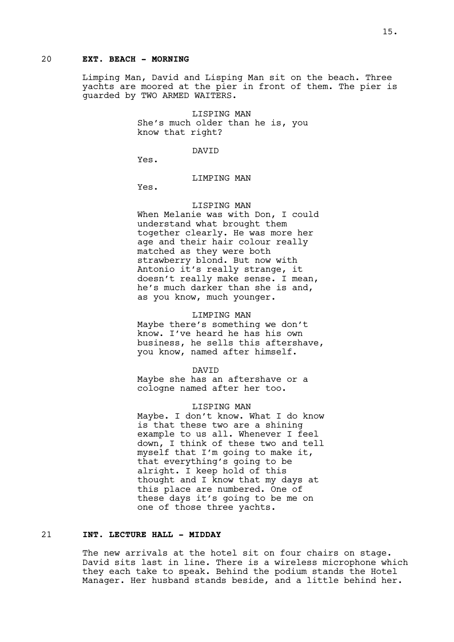# 20 **EXT. BEACH - MORNING**

Limping Man, David and Lisping Man sit on the beach. Three yachts are moored at the pier in front of them. The pier is guarded by TWO ARMED WAITERS.

> LISPING MAN She's much older than he is, you know that right?

> > DAVID

Yes.

## LIMPING MAN

Yes.

#### LISPING MAN

When Melanie was with Don, I could understand what brought them together clearly. He was more her age and their hair colour really matched as they were both strawberry blond. But now with Antonio it's really strange, it doesn't really make sense. I mean, he's much darker than she is and, as you know, much younger.

#### LIMPING MAN

Maybe there's something we don't know. I've heard he has his own business, he sells this aftershave, you know, named after himself.

DAVID

Maybe she has an aftershave or a cologne named after her too.

LISPING MAN Maybe. I don't know. What I do know is that these two are a shining example to us all. Whenever I feel down, I think of these two and tell myself that I'm going to make it, that everything's going to be alright. I keep hold of this thought and I know that my days at this place are numbered. One of these days it's going to be me on one of those three yachts.

## 21 **INT. LECTURE HALL - MIDDAY**

The new arrivals at the hotel sit on four chairs on stage. David sits last in line. There is a wireless microphone which they each take to speak. Behind the podium stands the Hotel Manager. Her husband stands beside, and a little behind her.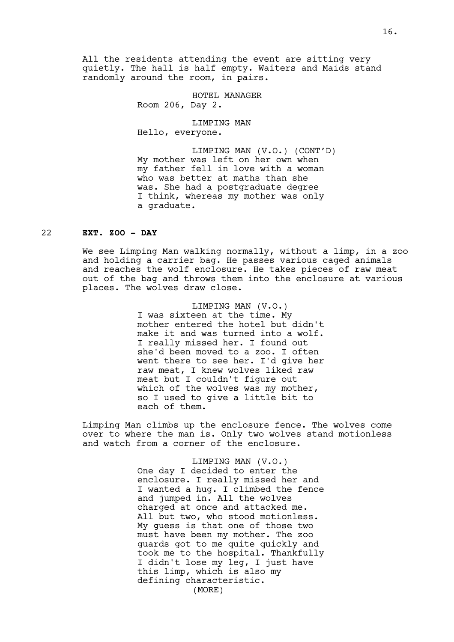All the residents attending the event are sitting very quietly. The hall is half empty. Waiters and Maids stand randomly around the room, in pairs.

> HOTEL MANAGER Room 206, Day 2.

LIMPING MAN Hello, everyone.

LIMPING MAN (V.O.) (CONT'D) My mother was left on her own when my father fell in love with a woman who was better at maths than she was. She had a postgraduate degree I think, whereas my mother was only a graduate.

# 22 **EXT. ZOO - DAY**

We see Limping Man walking normally, without a limp, in a zoo and holding a carrier bag. He passes various caged animals and reaches the wolf enclosure. He takes pieces of raw meat out of the bag and throws them into the enclosure at various places. The wolves draw close.

> LIMPING MAN (V.O.) I was sixteen at the time. My mother entered the hotel but didn't make it and was turned into a wolf. I really missed her. I found out she'd been moved to a zoo. I often went there to see her. I'd give her raw meat, I knew wolves liked raw meat but I couldn't figure out which of the wolves was my mother, so I used to give a little bit to each of them.

Limping Man climbs up the enclosure fence. The wolves come over to where the man is. Only two wolves stand motionless and watch from a corner of the enclosure.

> LIMPING MAN (V.O.) One day I decided to enter the enclosure. I really missed her and I wanted a hug. I climbed the fence and jumped in. All the wolves charged at once and attacked me. All but two, who stood motionless. My guess is that one of those two must have been my mother. The zoo guards got to me quite quickly and took me to the hospital. Thankfully I didn't lose my leg, I just have this limp, which is also my defining characteristic. (MORE)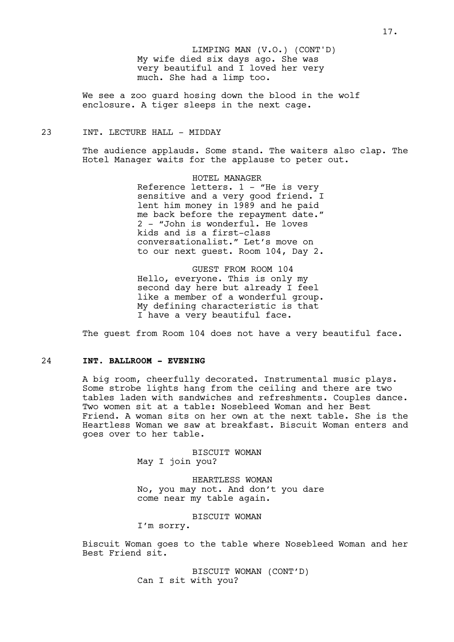My wife died six days ago. She was very beautiful and I loved her very much. She had a limp too. LIMPING MAN (V.O.) (CONT'D)

We see a zoo guard hosing down the blood in the wolf enclosure. A tiger sleeps in the next cage.

## 23 INT. LECTURE HALL - MIDDAY

The audience applauds. Some stand. The waiters also clap. The Hotel Manager waits for the applause to peter out.

> HOTEL MANAGER Reference letters. 1 - "He is very sensitive and a very good friend. I lent him money in 1989 and he paid me back before the repayment date." 2 - "John is wonderful. He loves kids and is a first-class conversationalist." Let's move on to our next guest. Room 104, Day 2.

GUEST FROM ROOM 104 Hello, everyone. This is only my second day here but already I feel like a member of a wonderful group. My defining characteristic is that I have a very beautiful face.

The quest from Room 104 does not have a very beautiful face.

# 24 **INT. BALLROOM - EVENING**

A big room, cheerfully decorated. Instrumental music plays. Some strobe lights hang from the ceiling and there are two tables laden with sandwiches and refreshments. Couples dance. Two women sit at a table: Nosebleed Woman and her Best Friend. A woman sits on her own at the next table. She is the Heartless Woman we saw at breakfast. Biscuit Woman enters and goes over to her table.

> BISCUIT WOMAN May I join you?

HEARTLESS WOMAN No, you may not. And don't you dare come near my table again.

BISCUIT WOMAN

I'm sorry.

Biscuit Woman goes to the table where Nosebleed Woman and her Best Friend sit.

> BISCUIT WOMAN (CONT'D) Can I sit with you?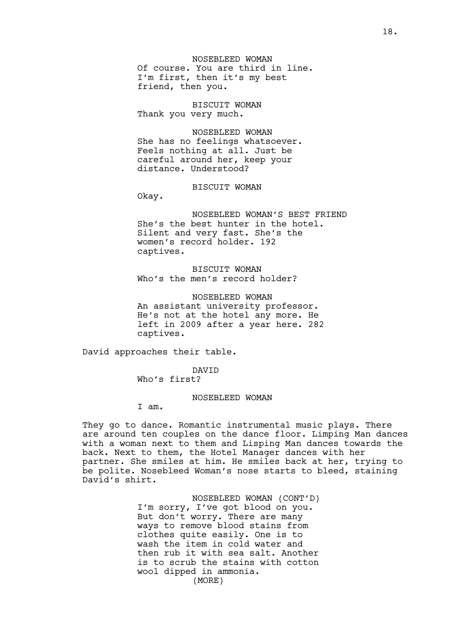NOSEBLEED WOMAN Of course. You are third in line. I'm first, then it's my best friend, then you.

BISCUIT WOMAN Thank you very much.

NOSEBLEED WOMAN She has no feelings whatsoever. Feels nothing at all. Just be careful around her, keep your distance. Understood?

BISCUIT WOMAN

Okay.

NOSEBLEED WOMAN'S BEST FRIEND She's the best hunter in the hotel. Silent and very fast. She's the women's record holder. 192 captives.

BISCUIT WOMAN Who's the men's record holder?

NOSEBLEED WOMAN An assistant university professor. He's not at the hotel any more. He left in 2009 after a year here. 282 captives.

David approaches their table.

DAVID

Who's first?

#### NOSEBLEED WOMAN

I am.

They go to dance. Romantic instrumental music plays. There are around ten couples on the dance floor. Limping Man dances with a woman next to them and Lisping Man dances towards the back. Next to them, the Hotel Manager dances with her partner. She smiles at him. He smiles back at her, trying to be polite. Nosebleed Woman's nose starts to bleed, staining David's shirt.

> NOSEBLEED WOMAN (CONT'D) I'm sorry, I've got blood on you. But don't worry. There are many ways to remove blood stains from clothes quite easily. One is to wash the item in cold water and then rub it with sea salt. Another is to scrub the stains with cotton wool dipped in ammonia. (MORE)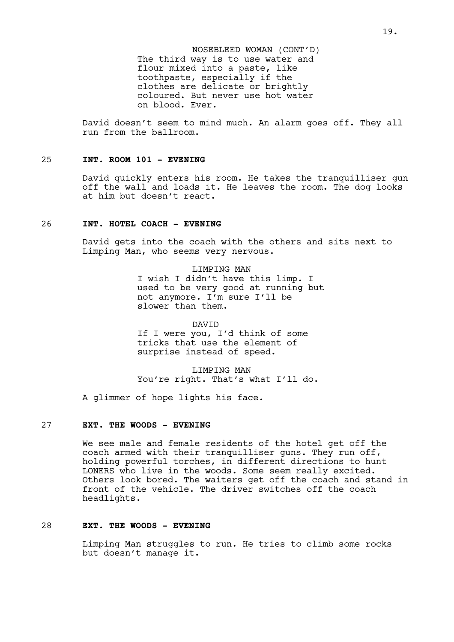The third way is to use water and flour mixed into a paste, like toothpaste, especially if the clothes are delicate or brightly coloured. But never use hot water on blood. Ever. NOSEBLEED WOMAN (CONT'D)

David doesn't seem to mind much. An alarm goes off. They all run from the ballroom.

# 25 **INT. ROOM 101 - EVENING**

David quickly enters his room. He takes the tranquilliser gun off the wall and loads it. He leaves the room. The dog looks at him but doesn't react.

# 26 **INT. HOTEL COACH - EVENING**

David gets into the coach with the others and sits next to Limping Man, who seems very nervous.

> LIMPING MAN I wish I didn't have this limp. I used to be very good at running but not anymore. I'm sure I'll be slower than them.

DAVID If I were you, I'd think of some tricks that use the element of surprise instead of speed.

LIMPING MAN You're right. That's what I'll do.

A glimmer of hope lights his face.

# 27 **EXT. THE WOODS - EVENING**

We see male and female residents of the hotel get off the coach armed with their tranquilliser guns. They run off, holding powerful torches, in different directions to hunt LONERS who live in the woods. Some seem really excited. Others look bored. The waiters get off the coach and stand in front of the vehicle. The driver switches off the coach headlights.

# 28 **EXT. THE WOODS - EVENING**

Limping Man struggles to run. He tries to climb some rocks but doesn't manage it.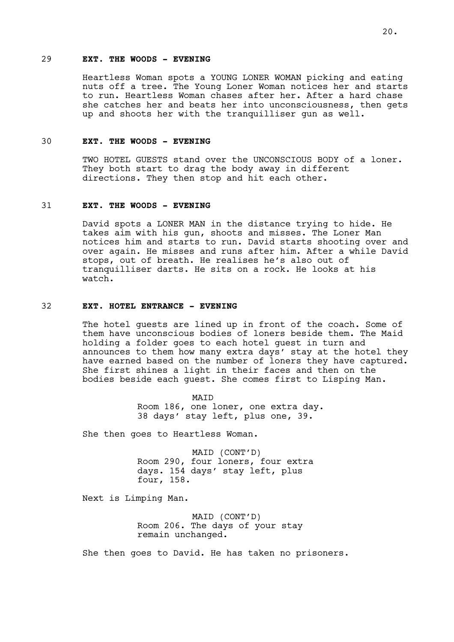# 29 **EXT. THE WOODS - EVENING**

Heartless Woman spots a YOUNG LONER WOMAN picking and eating nuts off a tree. The Young Loner Woman notices her and starts to run. Heartless Woman chases after her. After a hard chase she catches her and beats her into unconsciousness, then gets up and shoots her with the tranquilliser gun as well.

#### 30 **EXT. THE WOODS - EVENING**

TWO HOTEL GUESTS stand over the UNCONSCIOUS BODY of a loner. They both start to drag the body away in different directions. They then stop and hit each other.

# 31 **EXT. THE WOODS - EVENING**

David spots a LONER MAN in the distance trying to hide. He takes aim with his gun, shoots and misses. The Loner Man notices him and starts to run. David starts shooting over and over again. He misses and runs after him. After a while David stops, out of breath. He realises he's also out of tranquilliser darts. He sits on a rock. He looks at his watch.

#### 32 **EXT. HOTEL ENTRANCE - EVENING**

The hotel guests are lined up in front of the coach. Some of them have unconscious bodies of loners beside them. The Maid holding a folder goes to each hotel guest in turn and announces to them how many extra days' stay at the hotel they have earned based on the number of loners they have captured. She first shines a light in their faces and then on the bodies beside each guest. She comes first to Lisping Man.

> MAID Room 186, one loner, one extra day. 38 days' stay left, plus one, 39.

She then goes to Heartless Woman.

MAID (CONT'D) Room 290, four loners, four extra days. 154 days' stay left, plus four, 158.

Next is Limping Man.

MAID (CONT'D) Room 206. The days of your stay remain unchanged.

She then goes to David. He has taken no prisoners.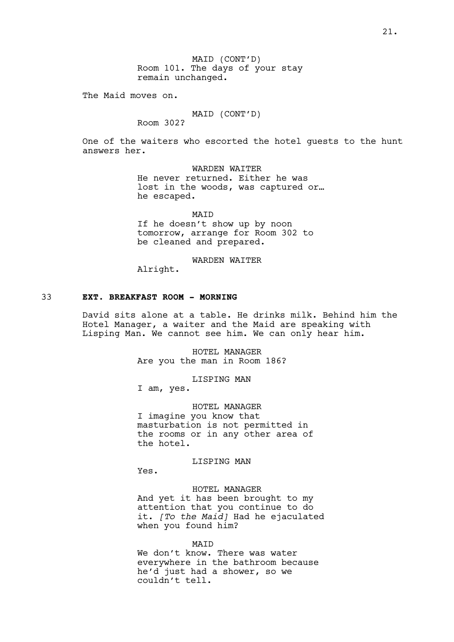MAID (CONT'D) Room 101. The days of your stay remain unchanged.

The Maid moves on.

# MAID (CONT'D)

Room 302?

One of the waiters who escorted the hotel guests to the hunt answers her.

> WARDEN WAITER He never returned. Either he was lost in the woods, was captured or… he escaped.

**MATD** If he doesn't show up by noon tomorrow, arrange for Room 302 to be cleaned and prepared.

## WARDEN WAITER

Alright.

# 33 **EXT. BREAKFAST ROOM - MORNING**

David sits alone at a table. He drinks milk. Behind him the Hotel Manager, a waiter and the Maid are speaking with Lisping Man. We cannot see him. We can only hear him.

> HOTEL MANAGER Are you the man in Room 186?

> > LISPING MAN

I am, yes.

HOTEL MANAGER I imagine you know that masturbation is not permitted in the rooms or in any other area of the hotel.

LISPING MAN

Yes.

HOTEL MANAGER And yet it has been brought to my attention that you continue to do it. *[To the Maid]* Had he ejaculated when you found him?

#### **MATD**

We don't know. There was water everywhere in the bathroom because he'd just had a shower, so we couldn't tell.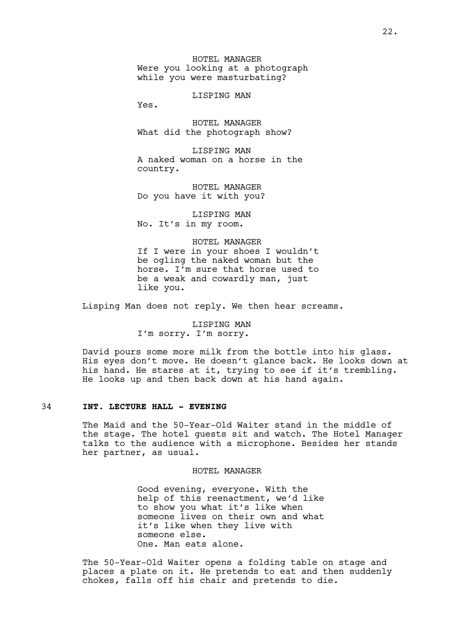HOTEL MANAGER Were you looking at a photograph while you were masturbating?

LISPING MAN

Yes.

HOTEL MANAGER What did the photograph show?

LISPING MAN A naked woman on a horse in the country.

HOTEL MANAGER Do you have it with you?

LISPING MAN No. It's in my room.

#### HOTEL MANAGER

If I were in your shoes I wouldn't be ogling the naked woman but the horse. I'm sure that horse used to be a weak and cowardly man, just like you.

Lisping Man does not reply. We then hear screams.

LISPING MAN I'm sorry. I'm sorry.

David pours some more milk from the bottle into his glass. His eyes don't move. He doesn't glance back. He looks down at his hand. He stares at it, trying to see if it's trembling. He looks up and then back down at his hand again.

## 34 **INT. LECTURE HALL - EVENING**

The Maid and the 50-Year-Old Waiter stand in the middle of the stage. The hotel guests sit and watch. The Hotel Manager talks to the audience with a microphone. Besides her stands her partner, as usual.

#### HOTEL MANAGER

Good evening, everyone. With the help of this reenactment, we'd like to show you what it's like when someone lives on their own and what it's like when they live with someone else. One. Man eats alone.

The 50-Year-Old Waiter opens a folding table on stage and places a plate on it. He pretends to eat and then suddenly chokes, falls off his chair and pretends to die.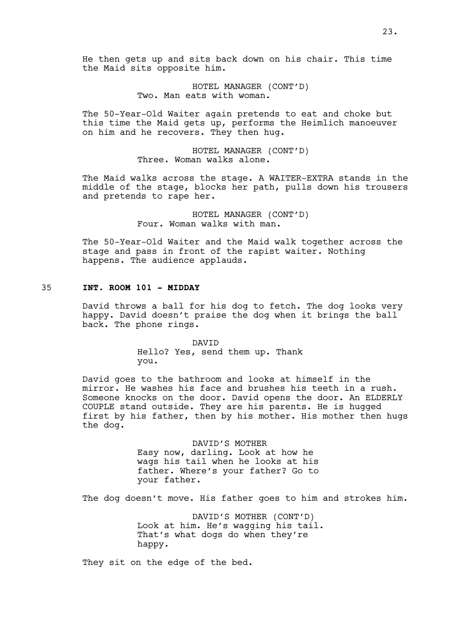He then gets up and sits back down on his chair. This time the Maid sits opposite him.

> HOTEL MANAGER (CONT'D) Two. Man eats with woman.

The 50-Year-Old Waiter again pretends to eat and choke but this time the Maid gets up, performs the Heimlich manoeuver on him and he recovers. They then hug.

> HOTEL MANAGER (CONT'D) Three. Woman walks alone.

The Maid walks across the stage. A WAITER-EXTRA stands in the middle of the stage, blocks her path, pulls down his trousers and pretends to rape her.

> HOTEL MANAGER (CONT'D) Four. Woman walks with man.

The 50-Year-Old Waiter and the Maid walk together across the stage and pass in front of the rapist waiter. Nothing happens. The audience applauds.

# 35 **INT. ROOM 101 - MIDDAY**

David throws a ball for his dog to fetch. The dog looks very happy. David doesn't praise the dog when it brings the ball back. The phone rings.

> DAVID Hello? Yes, send them up. Thank you.

David goes to the bathroom and looks at himself in the mirror. He washes his face and brushes his teeth in a rush. Someone knocks on the door. David opens the door. An ELDERLY COUPLE stand outside. They are his parents. He is hugged first by his father, then by his mother. His mother then hugs the dog.

> DAVID'S MOTHER Easy now, darling. Look at how he wags his tail when he looks at his father. Where's your father? Go to your father.

The dog doesn't move. His father goes to him and strokes him.

DAVID'S MOTHER (CONT'D) Look at him. He's wagging his tail. That's what dogs do when they're happy.

They sit on the edge of the bed.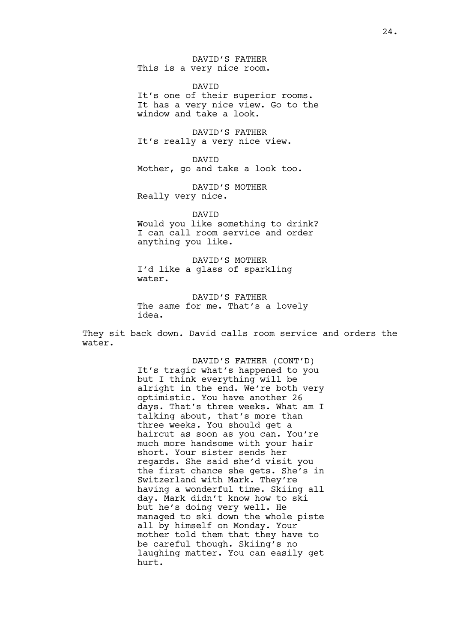DAVID'S FATHER This is a very nice room.

DAVID It's one of their superior rooms. It has a very nice view. Go to the window and take a look.

DAVID'S FATHER It's really a very nice view.

DAVID Mother, go and take a look too.

DAVID'S MOTHER Really very nice.

DAVID

Would you like something to drink? I can call room service and order anything you like.

DAVID'S MOTHER I'd like a glass of sparkling water.

DAVID'S FATHER The same for me. That's a lovely idea.

They sit back down. David calls room service and orders the water.

> DAVID'S FATHER (CONT'D) It's tragic what's happened to you but I think everything will be alright in the end. We're both very optimistic. You have another 26 days. That's three weeks. What am I talking about, that's more than three weeks. You should get a haircut as soon as you can. You're much more handsome with your hair short. Your sister sends her regards. She said she'd visit you the first chance she gets. She's in Switzerland with Mark. They're having a wonderful time. Skiing all day. Mark didn't know how to ski but he's doing very well. He managed to ski down the whole piste all by himself on Monday. Your mother told them that they have to be careful though. Skiing's no laughing matter. You can easily get hurt.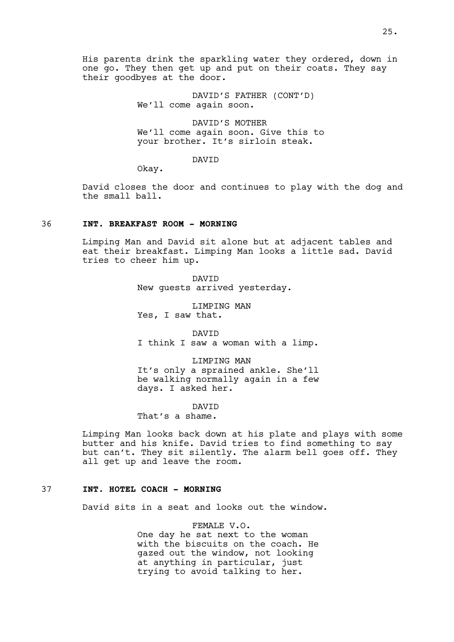His parents drink the sparkling water they ordered, down in one go. They then get up and put on their coats. They say their goodbyes at the door.

> DAVID'S FATHER (CONT'D) We'll come again soon.

DAVID'S MOTHER We'll come again soon. Give this to your brother. It's sirloin steak.

DAVID

Okay.

David closes the door and continues to play with the dog and the small ball.

# 36 **INT. BREAKFAST ROOM - MORNING**

Limping Man and David sit alone but at adjacent tables and eat their breakfast. Limping Man looks a little sad. David tries to cheer him up.

> DAVID New guests arrived yesterday.

LIMPING MAN Yes, I saw that.

DAVID I think I saw a woman with a limp.

LIMPING MAN It's only a sprained ankle. She'll be walking normally again in a few days. I asked her.

DAVID

That's a shame.

Limping Man looks back down at his plate and plays with some butter and his knife. David tries to find something to say but can't. They sit silently. The alarm bell goes off. They all get up and leave the room.

## 37 **INT. HOTEL COACH - MORNING**

David sits in a seat and looks out the window.

FEMALE V.O. One day he sat next to the woman with the biscuits on the coach. He gazed out the window, not looking at anything in particular, just trying to avoid talking to her.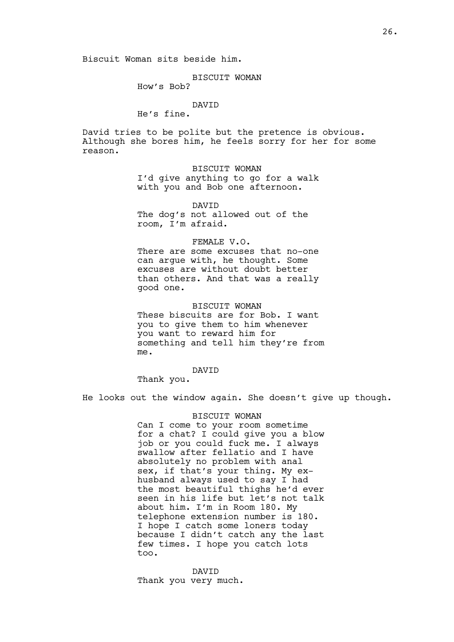Biscuit Woman sits beside him.

BISCUIT WOMAN

How's Bob?

# DAVID

He's fine.

David tries to be polite but the pretence is obvious. Although she bores him, he feels sorry for her for some reason.

> BISCUIT WOMAN I'd give anything to go for a walk with you and Bob one afternoon.

DAVID The dog's not allowed out of the room, I'm afraid.

FEMALE V.O.

There are some excuses that no-one can argue with, he thought. Some excuses are without doubt better than others. And that was a really good one.

BISCUIT WOMAN These biscuits are for Bob. I want you to give them to him whenever you want to reward him for something and tell him they're from me.

## DAVID

Thank you.

He looks out the window again. She doesn't give up though.

## BISCUIT WOMAN

Can I come to your room sometime for a chat? I could give you a blow job or you could fuck me. I always swallow after fellatio and I have absolutely no problem with anal sex, if that's your thing. My exhusband always used to say I had the most beautiful thighs he'd ever seen in his life but let's not talk about him. I'm in Room 180. My telephone extension number is 180. I hope I catch some loners today because I didn't catch any the last few times. I hope you catch lots too.

DAVID Thank you very much.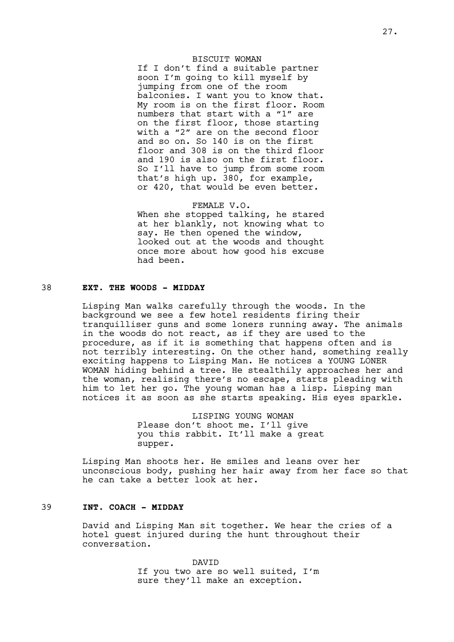# BISCUIT WOMAN

If I don't find a suitable partner soon I'm going to kill myself by jumping from one of the room balconies. I want you to know that. My room is on the first floor. Room numbers that start with a "1" are on the first floor, those starting with a "2" are on the second floor and so on. So 140 is on the first floor and 308 is on the third floor and 190 is also on the first floor. So I'll have to jump from some room that's high up. 380, for example, or 420, that would be even better.

FEMALE V.O. When she stopped talking, he stared at her blankly, not knowing what to say. He then opened the window, looked out at the woods and thought once more about how good his excuse had been.

# 38 **EXT. THE WOODS - MIDDAY**

Lisping Man walks carefully through the woods. In the background we see a few hotel residents firing their tranquilliser guns and some loners running away. The animals in the woods do not react, as if they are used to the procedure, as if it is something that happens often and is not terribly interesting. On the other hand, something really exciting happens to Lisping Man. He notices a YOUNG LONER WOMAN hiding behind a tree. He stealthily approaches her and the woman, realising there's no escape, starts pleading with him to let her go. The young woman has a lisp. Lisping man notices it as soon as she starts speaking. His eyes sparkle.

> LISPING YOUNG WOMAN Please don't shoot me. I'll give you this rabbit. It'll make a great supper.

Lisping Man shoots her. He smiles and leans over her unconscious body, pushing her hair away from her face so that he can take a better look at her.

# 39 **INT. COACH - MIDDAY**

David and Lisping Man sit together. We hear the cries of a hotel guest injured during the hunt throughout their conversation.

> DAVID If you two are so well suited, I'm sure they'll make an exception.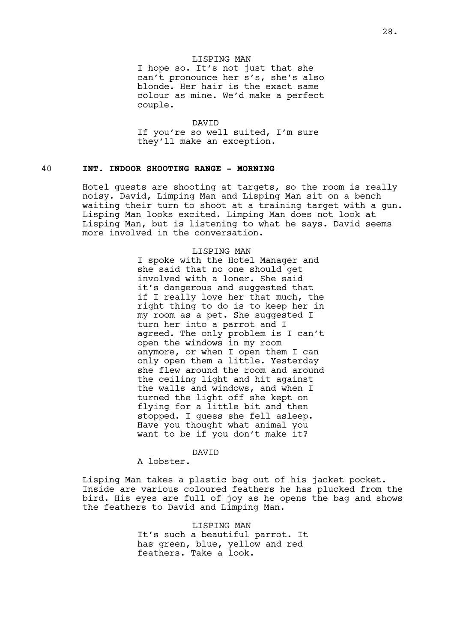## LISPING MAN

I hope so. It's not just that she can't pronounce her s's, she's also blonde. Her hair is the exact same colour as mine. We'd make a perfect couple.

DAVID If you're so well suited, I'm sure they'll make an exception.

## 40 **INT. INDOOR SHOOTING RANGE - MORNING**

Hotel guests are shooting at targets, so the room is really noisy. David, Limping Man and Lisping Man sit on a bench waiting their turn to shoot at a training target with a gun. Lisping Man looks excited. Limping Man does not look at Lisping Man, but is listening to what he says. David seems more involved in the conversation.

#### LISPING MAN

I spoke with the Hotel Manager and she said that no one should get involved with a loner. She said it's dangerous and suggested that if I really love her that much, the right thing to do is to keep her in my room as a pet. She suggested I turn her into a parrot and I agreed. The only problem is I can't open the windows in my room anymore, or when I open them I can only open them a little. Yesterday she flew around the room and around the ceiling light and hit against the walls and windows, and when I turned the light off she kept on flying for a little bit and then stopped. I guess she fell asleep. Have you thought what animal you want to be if you don't make it?

#### DAVID

A lobster.

Lisping Man takes a plastic bag out of his jacket pocket. Inside are various coloured feathers he has plucked from the bird. His eyes are full of joy as he opens the bag and shows the feathers to David and Limping Man.

> LISPING MAN It's such a beautiful parrot. It has green, blue, yellow and red feathers. Take a look.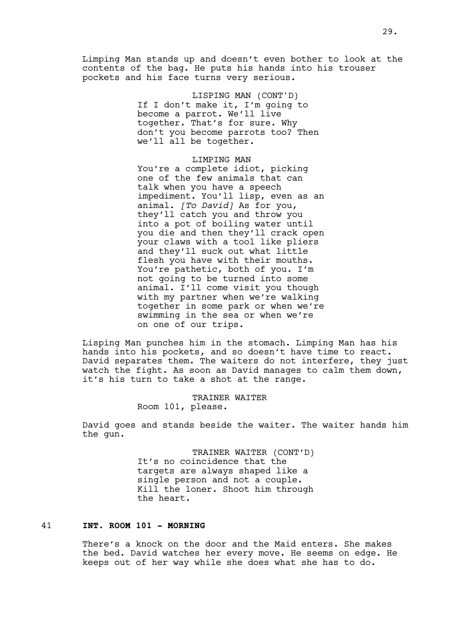Limping Man stands up and doesn't even bother to look at the contents of the bag. He puts his hands into his trouser pockets and his face turns very serious.

> LISPING MAN (CONT'D) If I don't make it, I'm going to become a parrot. We'll live together. That's for sure. Why don't you become parrots too? Then we'll all be together.

#### LIMPING MAN

You're a complete idiot, picking one of the few animals that can talk when you have a speech impediment. You'll lisp, even as an animal. *[To David]* As for you, they'll catch you and throw you into a pot of boiling water until you die and then they'll crack open your claws with a tool like pliers and they'll suck out what little flesh you have with their mouths. You're pathetic, both of you. I'm not going to be turned into some animal. I'll come visit you though with my partner when we're walking together in some park or when we're swimming in the sea or when we're on one of our trips.

Lisping Man punches him in the stomach. Limping Man has his hands into his pockets, and so doesn't have time to react. David separates them. The waiters do not interfere, they just watch the fight. As soon as David manages to calm them down, it's his turn to take a shot at the range.

> TRAINER WAITER Room 101, please.

David goes and stands beside the waiter. The waiter hands him the gun.

> TRAINER WAITER (CONT'D) It's no coincidence that the targets are always shaped like a single person and not a couple. Kill the loner. Shoot him through the heart.

# 41 **INT. ROOM 101 - MORNING**

There's a knock on the door and the Maid enters. She makes the bed. David watches her every move. He seems on edge. He keeps out of her way while she does what she has to do.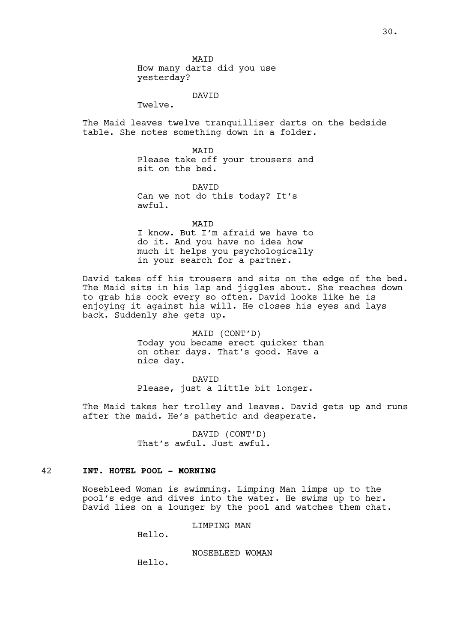MAID How many darts did you use yesterday?

# DAVID

Twelve.

The Maid leaves twelve tranquilliser darts on the bedside table. She notes something down in a folder.

> MAID Please take off your trousers and sit on the bed.

DAVID Can we not do this today? It's awful.

MATD

I know. But I'm afraid we have to do it. And you have no idea how much it helps you psychologically in your search for a partner.

David takes off his trousers and sits on the edge of the bed. The Maid sits in his lap and jiggles about. She reaches down to grab his cock every so often. David looks like he is enjoying it against his will. He closes his eyes and lays back. Suddenly she gets up.

> MAID (CONT'D) Today you became erect quicker than on other days. That's good. Have a nice day.

DAVID Please, just a little bit longer.

The Maid takes her trolley and leaves. David gets up and runs after the maid. He's pathetic and desperate.

> DAVID (CONT'D) That's awful. Just awful.

# 42 **INT. HOTEL POOL - MORNING**

Nosebleed Woman is swimming. Limping Man limps up to the pool's edge and dives into the water. He swims up to her. David lies on a lounger by the pool and watches them chat.

LIMPING MAN

Hello.

NOSEBLEED WOMAN

Hello.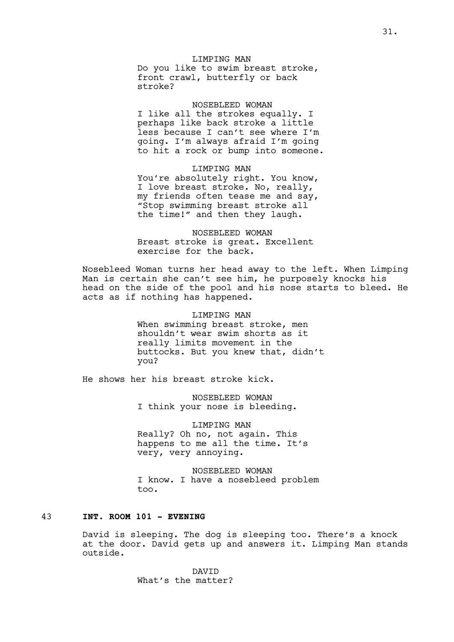# LIMPING MAN

Do you like to swim breast stroke, front crawl, butterfly or back stroke?

#### NOSEBLEED WOMAN

I like all the strokes equally. I perhaps like back stroke a little less because I can't see where I'm going. I'm always afraid I'm going to hit a rock or bump into someone.

LIMPING MAN You're absolutely right. You know, I love breast stroke. No, really, my friends often tease me and say, "Stop swimming breast stroke all

the time!" and then they laugh.

NOSEBLEED WOMAN Breast stroke is great. Excellent exercise for the back.

Nosebleed Woman turns her head away to the left. When Limping Man is certain she can't see him, he purposely knocks his head on the side of the pool and his nose starts to bleed. He acts as if nothing has happened.

> LIMPING MAN When swimming breast stroke, men shouldn't wear swim shorts as it really limits movement in the buttocks. But you knew that, didn't you?

He shows her his breast stroke kick.

NOSEBLEED WOMAN I think your nose is bleeding.

LIMPING MAN Really? Oh no, not again. This happens to me all the time. It's very, very annoying.

NOSEBLEED WOMAN I know. I have a nosebleed problem too.

# 43 **INT. ROOM 101 - EVENING**

David is sleeping. The dog is sleeping too. There's a knock at the door. David gets up and answers it. Limping Man stands outside.

> DAVID What's the matter?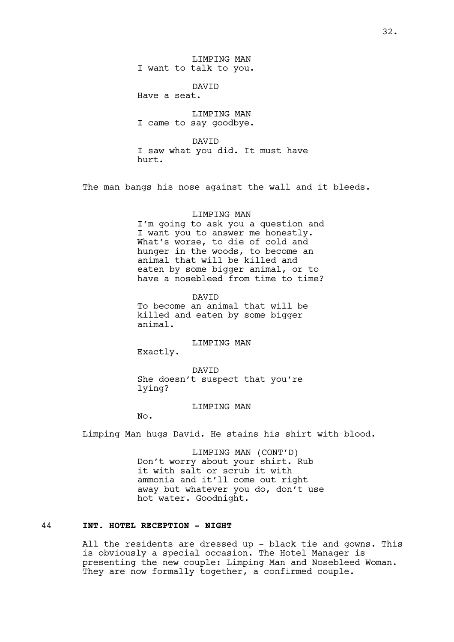LIMPING MAN I want to talk to you.

DAVID

Have a seat.

LIMPING MAN I came to say goodbye.

DAVID I saw what you did. It must have hurt.

The man bangs his nose against the wall and it bleeds.

# LIMPING MAN

I'm going to ask you a question and I want you to answer me honestly. What's worse, to die of cold and hunger in the woods, to become an animal that will be killed and eaten by some bigger animal, or to have a nosebleed from time to time?

DAVID To become an animal that will be killed and eaten by some bigger animal.

#### LIMPING MAN

Exactly.

DAVID She doesn't suspect that you're lying?

#### LIMPING MAN

No.

Limping Man hugs David. He stains his shirt with blood.

LIMPING MAN (CONT'D) Don't worry about your shirt. Rub it with salt or scrub it with ammonia and it'll come out right away but whatever you do, don't use hot water. Goodnight.

# 44 **INT. HOTEL RECEPTION - NIGHT**

All the residents are dressed up - black tie and gowns. This is obviously a special occasion. The Hotel Manager is presenting the new couple: Limping Man and Nosebleed Woman. They are now formally together, a confirmed couple.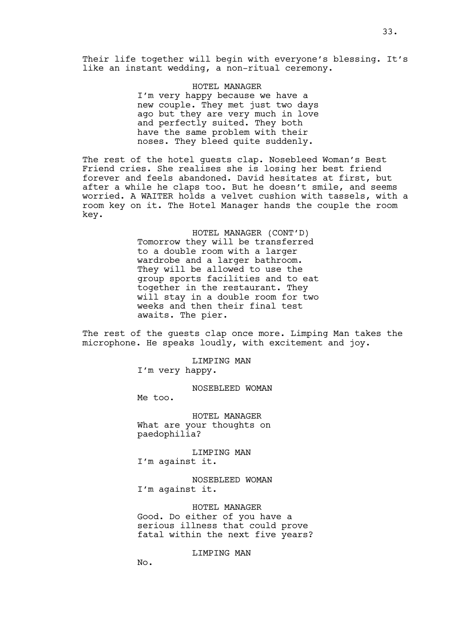Their life together will begin with everyone's blessing. It's like an instant wedding, a non-ritual ceremony.

> HOTEL MANAGER I'm very happy because we have a new couple. They met just two days ago but they are very much in love and perfectly suited. They both have the same problem with their noses. They bleed quite suddenly.

The rest of the hotel guests clap. Nosebleed Woman's Best Friend cries. She realises she is losing her best friend forever and feels abandoned. David hesitates at first, but after a while he claps too. But he doesn't smile, and seems worried. A WAITER holds a velvet cushion with tassels, with a room key on it. The Hotel Manager hands the couple the room key.

> HOTEL MANAGER (CONT'D) Tomorrow they will be transferred to a double room with a larger wardrobe and a larger bathroom. They will be allowed to use the group sports facilities and to eat together in the restaurant. They will stay in a double room for two weeks and then their final test awaits. The pier.

The rest of the guests clap once more. Limping Man takes the microphone. He speaks loudly, with excitement and joy.

LIMPING MAN

I'm very happy.

NOSEBLEED WOMAN

Me too.

HOTEL MANAGER What are your thoughts on paedophilia?

LIMPING MAN I'm against it.

NOSEBLEED WOMAN I'm against it.

HOTEL MANAGER Good. Do either of you have a serious illness that could prove fatal within the next five years?

LIMPING MAN

No.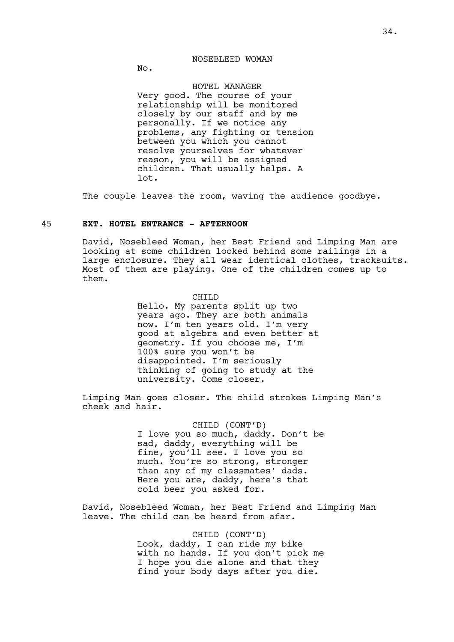#### NOSEBLEED WOMAN

No.

HOTEL MANAGER Very good. The course of your relationship will be monitored closely by our staff and by me personally. If we notice any problems, any fighting or tension between you which you cannot resolve yourselves for whatever reason, you will be assigned children. That usually helps. A lot.

The couple leaves the room, waving the audience goodbye.

# 45 **EXT. HOTEL ENTRANCE - AFTERNOON**

David, Nosebleed Woman, her Best Friend and Limping Man are looking at some children locked behind some railings in a large enclosure. They all wear identical clothes, tracksuits. Most of them are playing. One of the children comes up to them.

> CHILD Hello. My parents split up two years ago. They are both animals now. I'm ten years old. I'm very good at algebra and even better at geometry. If you choose me, I'm 100% sure you won't be disappointed. I'm seriously

thinking of going to study at the

university. Come closer.

Limping Man goes closer. The child strokes Limping Man's cheek and hair.

> CHILD (CONT'D) I love you so much, daddy. Don't be sad, daddy, everything will be fine, you'll see. I love you so much. You're so strong, stronger than any of my classmates' dads. Here you are, daddy, here's that cold beer you asked for.

David, Nosebleed Woman, her Best Friend and Limping Man leave. The child can be heard from afar.

#### CHILD (CONT'D)

Look, daddy, I can ride my bike with no hands. If you don't pick me I hope you die alone and that they find your body days after you die.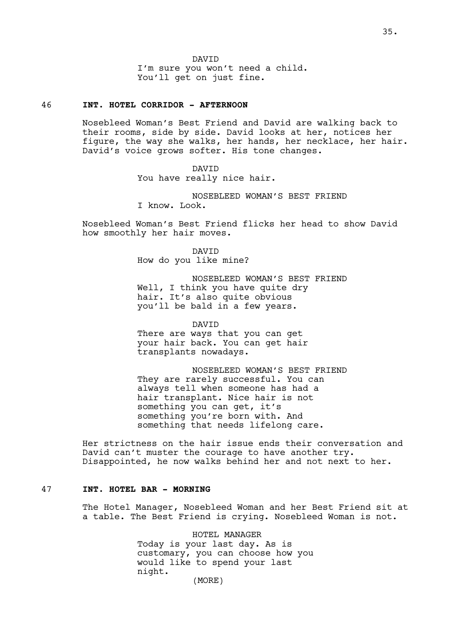DAVID I'm sure you won't need a child. You'll get on just fine.

# 46 **INT. HOTEL CORRIDOR - AFTERNOON**

Nosebleed Woman's Best Friend and David are walking back to their rooms, side by side. David looks at her, notices her figure, the way she walks, her hands, her necklace, her hair. David's voice grows softer. His tone changes.

> DAVID You have really nice hair.

NOSEBLEED WOMAN'S BEST FRIEND I know. Look.

Nosebleed Woman's Best Friend flicks her head to show David how smoothly her hair moves.

> DAVID How do you like mine?

NOSEBLEED WOMAN'S BEST FRIEND Well, I think you have quite dry hair. It's also quite obvious you'll be bald in a few years.

DAVID There are ways that you can get your hair back. You can get hair transplants nowadays.

NOSEBLEED WOMAN'S BEST FRIEND They are rarely successful. You can always tell when someone has had a hair transplant. Nice hair is not something you can get, it's something you're born with. And something that needs lifelong care.

Her strictness on the hair issue ends their conversation and David can't muster the courage to have another try. Disappointed, he now walks behind her and not next to her.

# 47 **INT. HOTEL BAR - MORNING**

The Hotel Manager, Nosebleed Woman and her Best Friend sit at a table. The Best Friend is crying. Nosebleed Woman is not.

> HOTEL MANAGER Today is your last day. As is customary, you can choose how you would like to spend your last night. (MORE)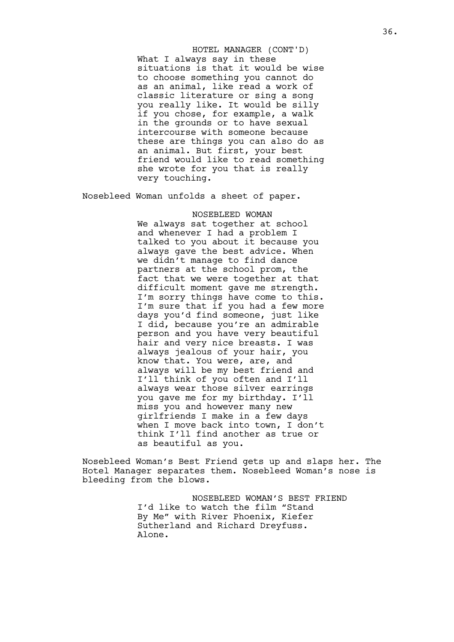What I always say in these situations is that it would be wise to choose something you cannot do as an animal, like read a work of classic literature or sing a song you really like. It would be silly if you chose, for example, a walk in the grounds or to have sexual intercourse with someone because these are things you can also do as an animal. But first, your best friend would like to read something she wrote for you that is really very touching. HOTEL MANAGER (CONT'D)

Nosebleed Woman unfolds a sheet of paper.

#### NOSEBLEED WOMAN

We always sat together at school and whenever I had a problem I talked to you about it because you always gave the best advice. When we didn't manage to find dance partners at the school prom, the fact that we were together at that difficult moment gave me strength. I'm sorry things have come to this. I'm sure that if you had a few more days you'd find someone, just like I did, because you're an admirable person and you have very beautiful hair and very nice breasts. I was always jealous of your hair, you know that. You were, are, and always will be my best friend and I'll think of you often and I'll always wear those silver earrings you gave me for my birthday. I'll miss you and however many new girlfriends I make in a few days when I move back into town, I don't think I'll find another as true or as beautiful as you.

Nosebleed Woman's Best Friend gets up and slaps her. The Hotel Manager separates them. Nosebleed Woman's nose is bleeding from the blows.

> NOSEBLEED WOMAN'S BEST FRIEND I'd like to watch the film "Stand By Me" with River Phoenix, Kiefer Sutherland and Richard Dreyfuss. Alone.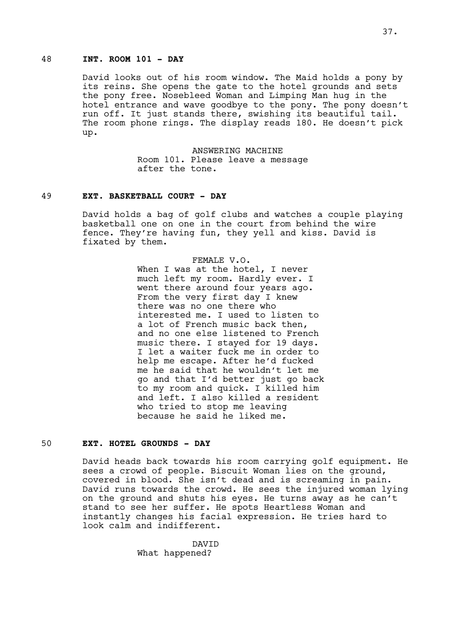## 48 **INT. ROOM 101 - DAY**

David looks out of his room window. The Maid holds a pony by its reins. She opens the gate to the hotel grounds and sets the pony free. Nosebleed Woman and Limping Man hug in the hotel entrance and wave goodbye to the pony. The pony doesn't run off. It just stands there, swishing its beautiful tail. The room phone rings. The display reads 180. He doesn't pick up.

> ANSWERING MACHINE Room 101. Please leave a message after the tone.

### 49 **EXT. BASKETBALL COURT - DAY**

David holds a bag of golf clubs and watches a couple playing basketball one on one in the court from behind the wire fence. They're having fun, they yell and kiss. David is fixated by them.

> FEMALE V.O. When I was at the hotel, I never much left my room. Hardly ever. I went there around four years ago. From the very first day I knew there was no one there who interested me. I used to listen to a lot of French music back then, and no one else listened to French music there. I stayed for 19 days. I let a waiter fuck me in order to help me escape. After he'd fucked me he said that he wouldn't let me go and that I'd better just go back to my room and quick. I killed him and left. I also killed a resident who tried to stop me leaving because he said he liked me.

## 50 **EXT. HOTEL GROUNDS - DAY**

David heads back towards his room carrying golf equipment. He sees a crowd of people. Biscuit Woman lies on the ground, covered in blood. She isn't dead and is screaming in pain. David runs towards the crowd. He sees the injured woman lying on the ground and shuts his eyes. He turns away as he can't stand to see her suffer. He spots Heartless Woman and instantly changes his facial expression. He tries hard to look calm and indifferent.

> DAVID What happened?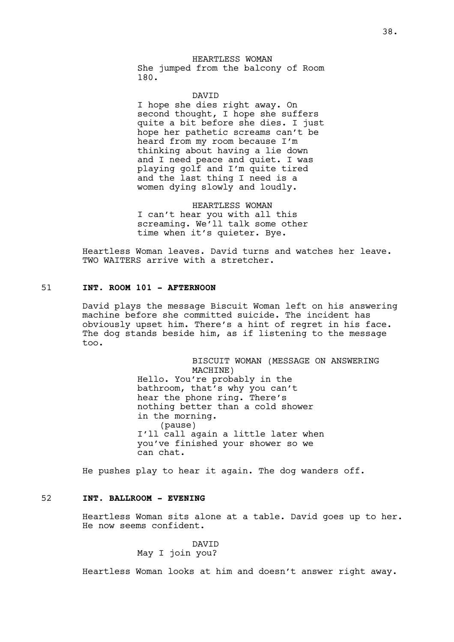HEARTLESS WOMAN She jumped from the balcony of Room 180.

DAVID

I hope she dies right away. On second thought, I hope she suffers quite a bit before she dies. I just hope her pathetic screams can't be heard from my room because I'm thinking about having a lie down and I need peace and quiet. I was playing golf and I'm quite tired and the last thing I need is a women dying slowly and loudly.

HEARTLESS WOMAN I can't hear you with all this screaming. We'll talk some other time when it's quieter. Bye.

Heartless Woman leaves. David turns and watches her leave. TWO WAITERS arrive with a stretcher.

## 51 **INT. ROOM 101 - AFTERNOON**

David plays the message Biscuit Woman left on his answering machine before she committed suicide. The incident has obviously upset him. There's a hint of regret in his face. The dog stands beside him, as if listening to the message too.

> BISCUIT WOMAN (MESSAGE ON ANSWERING MACHINE) Hello. You're probably in the bathroom, that's why you can't hear the phone ring. There's nothing better than a cold shower in the morning. (pause) I'll call again a little later when you've finished your shower so we can chat.

He pushes play to hear it again. The dog wanders off.

## 52 **INT. BALLROOM - EVENING**

Heartless Woman sits alone at a table. David goes up to her. He now seems confident.

> DAVID May I join you?

Heartless Woman looks at him and doesn't answer right away.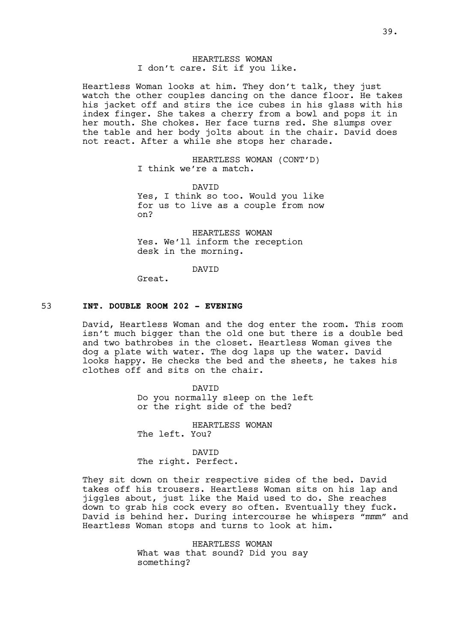### HEARTLESS WOMAN I don't care. Sit if you like.

Heartless Woman looks at him. They don't talk, they just watch the other couples dancing on the dance floor. He takes his jacket off and stirs the ice cubes in his glass with his index finger. She takes a cherry from a bowl and pops it in her mouth. She chokes. Her face turns red. She slumps over the table and her body jolts about in the chair. David does not react. After a while she stops her charade.

> HEARTLESS WOMAN (CONT'D) I think we're a match.

DAVID Yes, I think so too. Would you like for us to live as a couple from now on?

HEARTLESS WOMAN Yes. We'll inform the reception desk in the morning.

### DAVID

Great.

### 53 **INT. DOUBLE ROOM 202 - EVENING**

David, Heartless Woman and the dog enter the room. This room isn't much bigger than the old one but there is a double bed and two bathrobes in the closet. Heartless Woman gives the dog a plate with water. The dog laps up the water. David looks happy. He checks the bed and the sheets, he takes his clothes off and sits on the chair.

> DAVID Do you normally sleep on the left or the right side of the bed?

HEARTLESS WOMAN The left. You?

DAVID The right. Perfect.

They sit down on their respective sides of the bed. David takes off his trousers. Heartless Woman sits on his lap and jiggles about, just like the Maid used to do. She reaches down to grab his cock every so often. Eventually they fuck. David is behind her. During intercourse he whispers "mmm" and Heartless Woman stops and turns to look at him.

> HEARTLESS WOMAN What was that sound? Did you say something?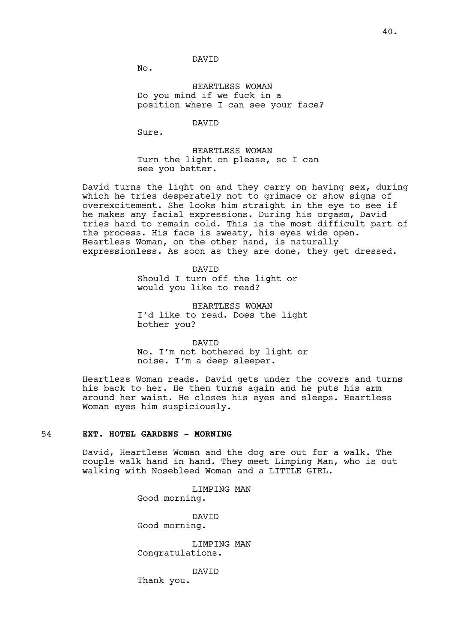### DAVID

No.

HEARTLESS WOMAN Do you mind if we fuck in a position where I can see your face?

DAVID

Sure.

HEARTLESS WOMAN Turn the light on please, so I can see you better.

David turns the light on and they carry on having sex, during which he tries desperately not to grimace or show signs of overexcitement. She looks him straight in the eye to see if he makes any facial expressions. During his orgasm, David tries hard to remain cold. This is the most difficult part of the process. His face is sweaty, his eyes wide open. Heartless Woman, on the other hand, is naturally expressionless. As soon as they are done, they get dressed.

> DAVID Should I turn off the light or would you like to read?

HEARTLESS WOMAN I'd like to read. Does the light bother you?

DAVID No. I'm not bothered by light or noise. I'm a deep sleeper.

Heartless Woman reads. David gets under the covers and turns his back to her. He then turns again and he puts his arm around her waist. He closes his eyes and sleeps. Heartless Woman eyes him suspiciously.

# 54 **EXT. HOTEL GARDENS - MORNING**

David, Heartless Woman and the dog are out for a walk. The couple walk hand in hand. They meet Limping Man, who is out walking with Nosebleed Woman and a LITTLE GIRL.

> LIMPING MAN Good morning.

**DAVTD** Good morning.

LIMPING MAN Congratulations.

DAVID

Thank you.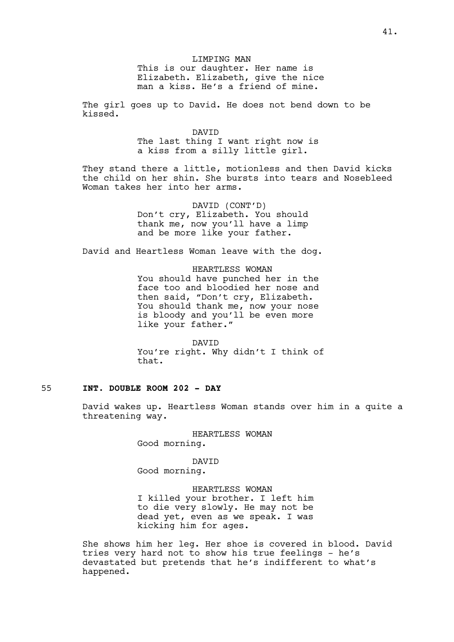LIMPING MAN This is our daughter. Her name is Elizabeth. Elizabeth, give the nice man a kiss. He's a friend of mine.

The girl goes up to David. He does not bend down to be kissed.

> DAVID The last thing I want right now is a kiss from a silly little girl.

They stand there a little, motionless and then David kicks the child on her shin. She bursts into tears and Nosebleed Woman takes her into her arms.

> DAVID (CONT'D) Don't cry, Elizabeth. You should thank me, now you'll have a limp and be more like your father.

David and Heartless Woman leave with the dog.

HEARTLESS WOMAN You should have punched her in the face too and bloodied her nose and then said, "Don't cry, Elizabeth. You should thank me, now your nose is bloody and you'll be even more like your father."

DAVID You're right. Why didn't I think of that.

# 55 **INT. DOUBLE ROOM 202 - DAY**

David wakes up. Heartless Woman stands over him in a quite a threatening way.

> HEARTLESS WOMAN Good morning.

DAVID Good morning.

HEARTLESS WOMAN I killed your brother. I left him to die very slowly. He may not be dead yet, even as we speak. I was kicking him for ages.

She shows him her leg. Her shoe is covered in blood. David tries very hard not to show his true feelings - he's devastated but pretends that he's indifferent to what's happened.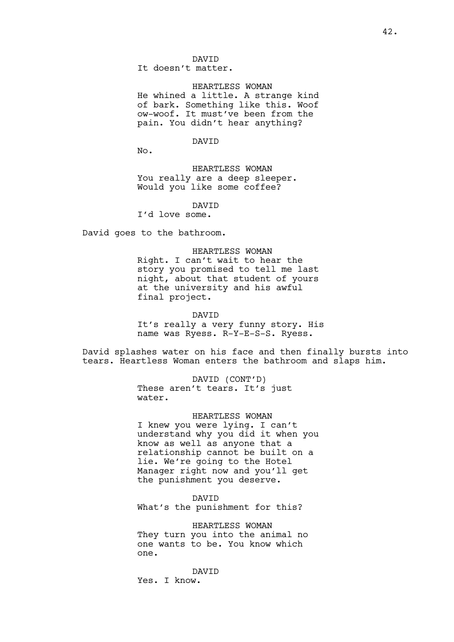DAVID It doesn't matter.

HEARTLESS WOMAN He whined a little. A strange kind of bark. Something like this. Woof ow-woof. It must've been from the pain. You didn't hear anything?

DAVID

No.

HEARTLESS WOMAN You really are a deep sleeper. Would you like some coffee?

DAVID

I'd love some.

David goes to the bathroom.

#### HEARTLESS WOMAN

Right. I can't wait to hear the story you promised to tell me last night, about that student of yours at the university and his awful final project.

DAVID

It's really a very funny story. His name was Ryess. R-Y-E-S-S. Ryess.

David splashes water on his face and then finally bursts into tears. Heartless Woman enters the bathroom and slaps him.

> DAVID (CONT'D) These aren't tears. It's just water.

### HEARTLESS WOMAN

I knew you were lying. I can't understand why you did it when you know as well as anyone that a relationship cannot be built on a lie. We're going to the Hotel Manager right now and you'll get the punishment you deserve.

DAVID

What's the punishment for this?

HEARTLESS WOMAN They turn you into the animal no one wants to be. You know which one.

DAVID Yes. I know.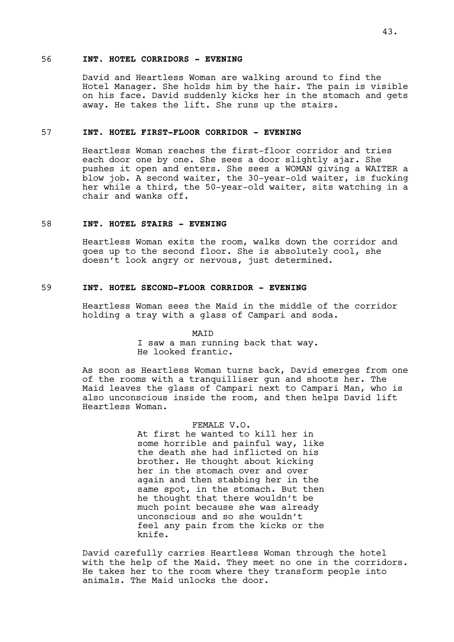### 56 **INT. HOTEL CORRIDORS - EVENING**

David and Heartless Woman are walking around to find the Hotel Manager. She holds him by the hair. The pain is visible on his face. David suddenly kicks her in the stomach and gets away. He takes the lift. She runs up the stairs.

### 57 **INT. HOTEL FIRST-FLOOR CORRIDOR - EVENING**

Heartless Woman reaches the first-floor corridor and tries each door one by one. She sees a door slightly ajar. She pushes it open and enters. She sees a WOMAN giving a WAITER a blow job. A second waiter, the 30-year-old waiter, is fucking her while a third, the 50-year-old waiter, sits watching in a chair and wanks off.

## 58 **INT. HOTEL STAIRS - EVENING**

Heartless Woman exits the room, walks down the corridor and goes up to the second floor. She is absolutely cool, she doesn't look angry or nervous, just determined.

### 59 **INT. HOTEL SECOND-FLOOR CORRIDOR - EVENING**

Heartless Woman sees the Maid in the middle of the corridor holding a tray with a glass of Campari and soda.

MAID

I saw a man running back that way. He looked frantic.

As soon as Heartless Woman turns back, David emerges from one of the rooms with a tranquilliser gun and shoots her. The Maid leaves the glass of Campari next to Campari Man, who is also unconscious inside the room, and then helps David lift Heartless Woman.

## FEMALE V.O.

At first he wanted to kill her in some horrible and painful way, like the death she had inflicted on his brother. He thought about kicking her in the stomach over and over again and then stabbing her in the same spot, in the stomach. But then he thought that there wouldn't be much point because she was already unconscious and so she wouldn't feel any pain from the kicks or the knife.

David carefully carries Heartless Woman through the hotel with the help of the Maid. They meet no one in the corridors. He takes her to the room where they transform people into animals. The Maid unlocks the door.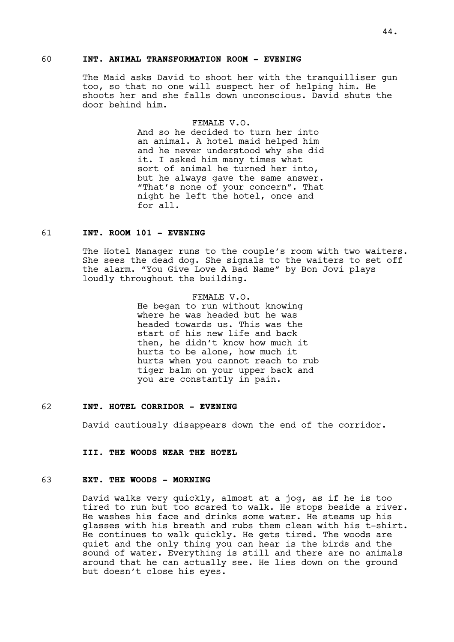## 60 **INT. ANIMAL TRANSFORMATION ROOM - EVENING**

The Maid asks David to shoot her with the tranquilliser gun too, so that no one will suspect her of helping him. He shoots her and she falls down unconscious. David shuts the door behind him.

## FEMALE V.O.

And so he decided to turn her into an animal. A hotel maid helped him and he never understood why she did it. I asked him many times what sort of animal he turned her into, but he always gave the same answer. "That's none of your concern". That night he left the hotel, once and for all.

#### 61 **INT. ROOM 101 - EVENING**

The Hotel Manager runs to the couple's room with two waiters. She sees the dead dog. She signals to the waiters to set off the alarm. "You Give Love A Bad Name" by Bon Jovi plays loudly throughout the building.

> FEMALE V.O. He began to run without knowing where he was headed but he was headed towards us. This was the start of his new life and back then, he didn't know how much it hurts to be alone, how much it hurts when you cannot reach to rub tiger balm on your upper back and you are constantly in pain.

#### 62 **INT. HOTEL CORRIDOR - EVENING**

David cautiously disappears down the end of the corridor.

**III. THE WOODS NEAR THE HOTEL**

### 63 **EXT. THE WOODS - MORNING**

David walks very quickly, almost at a jog, as if he is too tired to run but too scared to walk. He stops beside a river. He washes his face and drinks some water. He steams up his glasses with his breath and rubs them clean with his t-shirt. He continues to walk quickly. He gets tired. The woods are quiet and the only thing you can hear is the birds and the sound of water. Everything is still and there are no animals around that he can actually see. He lies down on the ground but doesn't close his eyes.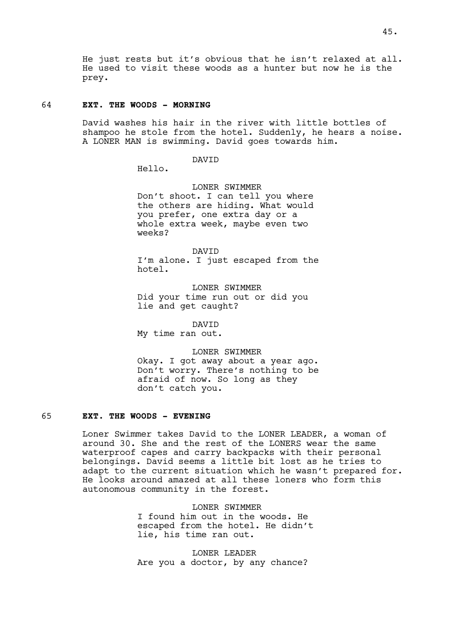He just rests but it's obvious that he isn't relaxed at all. He used to visit these woods as a hunter but now he is the prey.

## 64 **EXT. THE WOODS - MORNING**

David washes his hair in the river with little bottles of shampoo he stole from the hotel. Suddenly, he hears a noise. A LONER MAN is swimming. David goes towards him.

DAVID

Hello.

LONER SWIMMER Don't shoot. I can tell you where the others are hiding. What would you prefer, one extra day or a whole extra week, maybe even two weeks?

DAVID I'm alone. I just escaped from the hotel.

LONER SWIMMER Did your time run out or did you lie and get caught?

DAVID

My time ran out.

LONER SWIMMER Okay. I got away about a year ago. Don't worry. There's nothing to be afraid of now. So long as they don't catch you.

## 65 **EXT. THE WOODS - EVENING**

Loner Swimmer takes David to the LONER LEADER, a woman of around 30. She and the rest of the LONERS wear the same waterproof capes and carry backpacks with their personal belongings. David seems a little bit lost as he tries to adapt to the current situation which he wasn't prepared for. He looks around amazed at all these loners who form this autonomous community in the forest.

> LONER SWIMMER I found him out in the woods. He escaped from the hotel. He didn't lie, his time ran out.

LONER LEADER Are you a doctor, by any chance?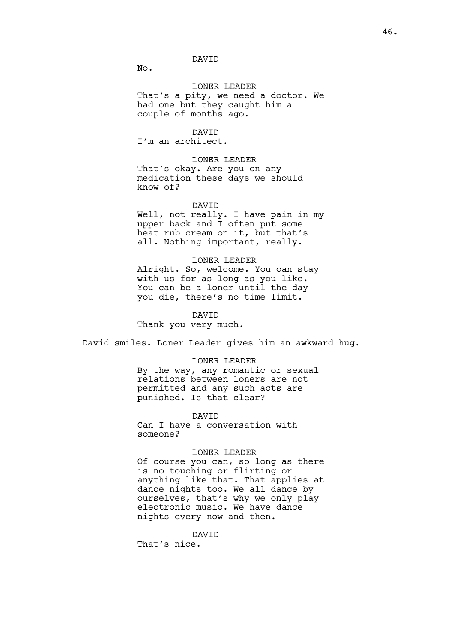## DAVID

No.

LONER LEADER That's a pity, we need a doctor. We had one but they caught him a couple of months ago.

DAVID I'm an architect.

LONER LEADER That's okay. Are you on any medication these days we should know of?

#### DAVID

Well, not really. I have pain in my upper back and I often put some heat rub cream on it, but that's all. Nothing important, really.

#### LONER LEADER

Alright. So, welcome. You can stay with us for as long as you like. You can be a loner until the day you die, there's no time limit.

#### DAVID

Thank you very much.

David smiles. Loner Leader gives him an awkward hug.

#### LONER LEADER

By the way, any romantic or sexual relations between loners are not permitted and any such acts are punished. Is that clear?

#### DAVID

Can I have a conversation with someone?

#### LONER LEADER

Of course you can, so long as there is no touching or flirting or anything like that. That applies at dance nights too. We all dance by ourselves, that's why we only play electronic music. We have dance nights every now and then.

#### DAVID

That's nice.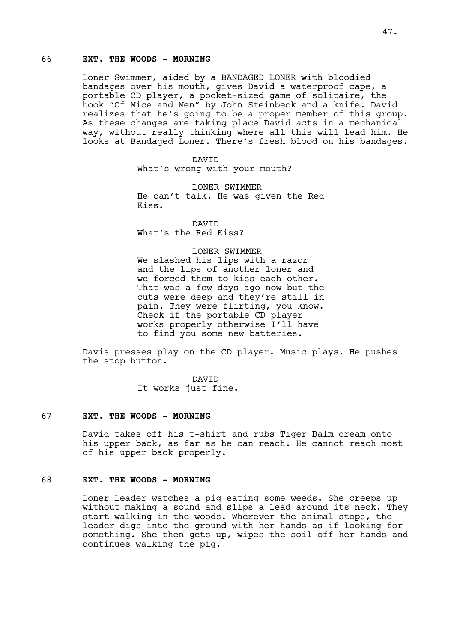## 66 **EXT. THE WOODS - MORNING**

Loner Swimmer, aided by a BANDAGED LONER with bloodied bandages over his mouth, gives David a waterproof cape, a portable CD player, a pocket-sized game of solitaire, the book "Of Mice and Men" by John Steinbeck and a knife. David realizes that he's going to be a proper member of this group. As these changes are taking place David acts in a mechanical way, without really thinking where all this will lead him. He looks at Bandaged Loner. There's fresh blood on his bandages.

> DAVID What's wrong with your mouth?

LONER SWIMMER He can't talk. He was given the Red Kiss.

DAVID What's the Red Kiss?

#### LONER SWIMMER

We slashed his lips with a razor and the lips of another loner and we forced them to kiss each other. That was a few days ago now but the cuts were deep and they're still in pain. They were flirting, you know. Check if the portable CD player works properly otherwise I'll have to find you some new batteries.

Davis presses play on the CD player. Music plays. He pushes the stop button.

> DAVID It works just fine.

### 67 **EXT. THE WOODS - MORNING**

David takes off his t-shirt and rubs Tiger Balm cream onto his upper back, as far as he can reach. He cannot reach most of his upper back properly.

## 68 **EXT. THE WOODS - MORNING**

Loner Leader watches a pig eating some weeds. She creeps up without making a sound and slips a lead around its neck. They start walking in the woods. Wherever the animal stops, the leader digs into the ground with her hands as if looking for something. She then gets up, wipes the soil off her hands and continues walking the pig.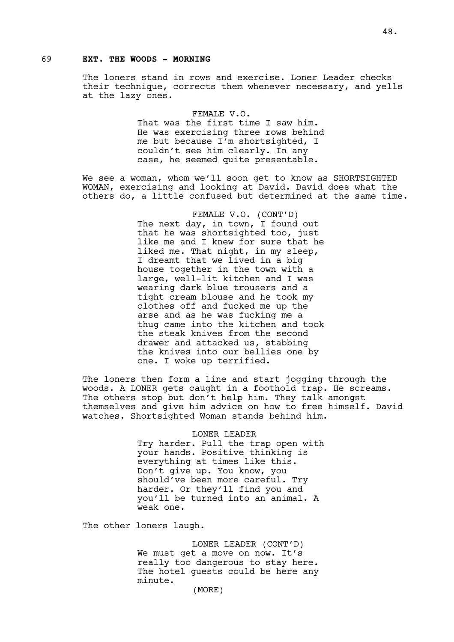### 69 **EXT. THE WOODS - MORNING**

The loners stand in rows and exercise. Loner Leader checks their technique, corrects them whenever necessary, and yells at the lazy ones.

> FEMALE V.O. That was the first time I saw him. He was exercising three rows behind me but because I'm shortsighted, I couldn't see him clearly. In any case, he seemed quite presentable.

We see a woman, whom we'll soon get to know as SHORTSIGHTED WOMAN, exercising and looking at David. David does what the others do, a little confused but determined at the same time.

> FEMALE V.O. (CONT'D) The next day, in town, I found out that he was shortsighted too, just like me and I knew for sure that he liked me. That night, in my sleep, I dreamt that we lived in a big house together in the town with a large, well-lit kitchen and I was wearing dark blue trousers and a tight cream blouse and he took my clothes off and fucked me up the arse and as he was fucking me a thug came into the kitchen and took the steak knives from the second drawer and attacked us, stabbing the knives into our bellies one by one. I woke up terrified.

The loners then form a line and start jogging through the woods. A LONER gets caught in a foothold trap. He screams. The others stop but don't help him. They talk amongst themselves and give him advice on how to free himself. David watches. Shortsighted Woman stands behind him.

> LONER LEADER Try harder. Pull the trap open with your hands. Positive thinking is everything at times like this. Don't give up. You know, you should've been more careful. Try harder. Or they'll find you and you'll be turned into an animal. A weak one.

The other loners laugh.

LONER LEADER (CONT'D) We must get a move on now. It's really too dangerous to stay here. The hotel guests could be here any minute. (MORE)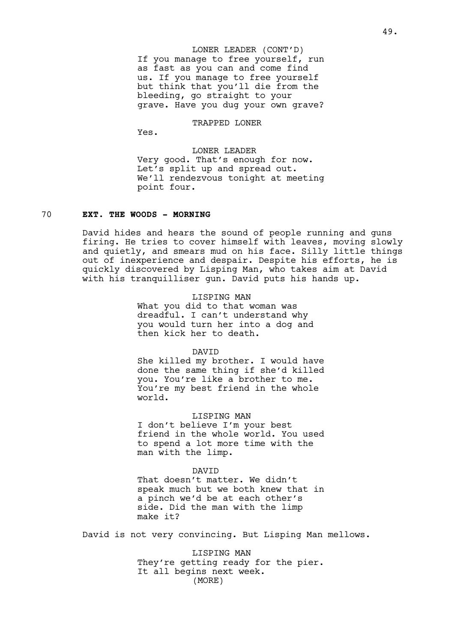If you manage to free yourself, run as fast as you can and come find us. If you manage to free yourself but think that you'll die from the bleeding, go straight to your grave. Have you dug your own grave? LONER LEADER (CONT'D)

### TRAPPED LONER

Yes.

LONER LEADER Very good. That's enough for now. Let's split up and spread out. We'll rendezvous tonight at meeting point four.

## 70 **EXT. THE WOODS - MORNING**

David hides and hears the sound of people running and guns firing. He tries to cover himself with leaves, moving slowly and quietly, and smears mud on his face. Silly little things out of inexperience and despair. Despite his efforts, he is quickly discovered by Lisping Man, who takes aim at David with his tranquilliser gun. David puts his hands up.

#### LISPING MAN

What you did to that woman was dreadful. I can't understand why you would turn her into a dog and then kick her to death.

#### DAVID

She killed my brother. I would have done the same thing if she'd killed you. You're like a brother to me. You're my best friend in the whole world.

# LISPING MAN

I don't believe I'm your best friend in the whole world. You used to spend a lot more time with the man with the limp.

#### DAVID

That doesn't matter. We didn't speak much but we both knew that in a pinch we'd be at each other's side. Did the man with the limp make it?

David is not very convincing. But Lisping Man mellows.

LISPING MAN They're getting ready for the pier. It all begins next week. (MORE)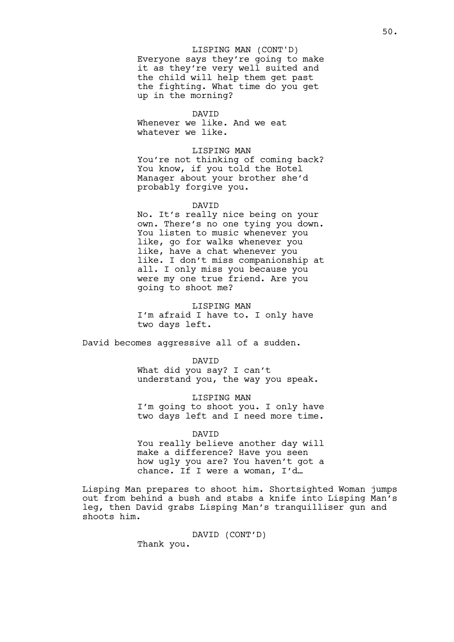Everyone says they're going to make it as they're very well suited and the child will help them get past the fighting. What time do you get up in the morning? LISPING MAN (CONT'D)

#### DAVID

Whenever we like. And we eat whatever we like.

#### LISPING MAN

You're not thinking of coming back? You know, if you told the Hotel Manager about your brother she'd probably forgive you.

#### DAVID

No. It's really nice being on your own. There's no one tying you down. You listen to music whenever you like, go for walks whenever you like, have a chat whenever you like. I don't miss companionship at all. I only miss you because you were my one true friend. Are you going to shoot me?

LISPING MAN I'm afraid I have to. I only have two days left.

David becomes aggressive all of a sudden.

DAVID

What did you say? I can't understand you, the way you speak.

LISPING MAN I'm going to shoot you. I only have two days left and I need more time.

DAVID You really believe another day will make a difference? Have you seen how ugly you are? You haven't got a chance. If I were a woman, I'd…

Lisping Man prepares to shoot him. Shortsighted Woman jumps out from behind a bush and stabs a knife into Lisping Man's leg, then David grabs Lisping Man's tranquilliser gun and shoots him.

# DAVID (CONT'D)

Thank you.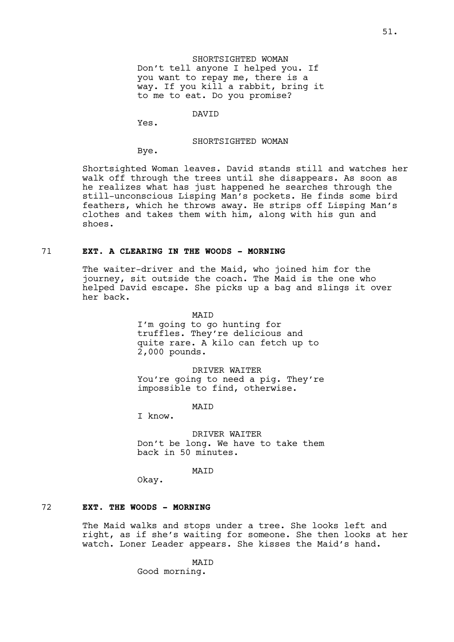SHORTSIGHTED WOMAN Don't tell anyone I helped you. If you want to repay me, there is a way. If you kill a rabbit, bring it to me to eat. Do you promise?

DAVID

Yes.

#### SHORTSIGHTED WOMAN

Bye.

Shortsighted Woman leaves. David stands still and watches her walk off through the trees until she disappears. As soon as he realizes what has just happened he searches through the still-unconscious Lisping Man's pockets. He finds some bird feathers, which he throws away. He strips off Lisping Man's clothes and takes them with him, along with his gun and shoes.

### 71 **EXT. A CLEARING IN THE WOODS - MORNING**

The waiter-driver and the Maid, who joined him for the journey, sit outside the coach. The Maid is the one who helped David escape. She picks up a bag and slings it over her back.

> **MATD** I'm going to go hunting for truffles. They're delicious and quite rare. A kilo can fetch up to 2,000 pounds.

DRIVER WAITER You're going to need a pig. They're impossible to find, otherwise.

**MATD** 

I know.

DRIVER WAITER Don't be long. We have to take them back in 50 minutes.

MAID

Okay.

#### 72 **EXT. THE WOODS - MORNING**

The Maid walks and stops under a tree. She looks left and right, as if she's waiting for someone. She then looks at her watch. Loner Leader appears. She kisses the Maid's hand.

> MAID Good morning.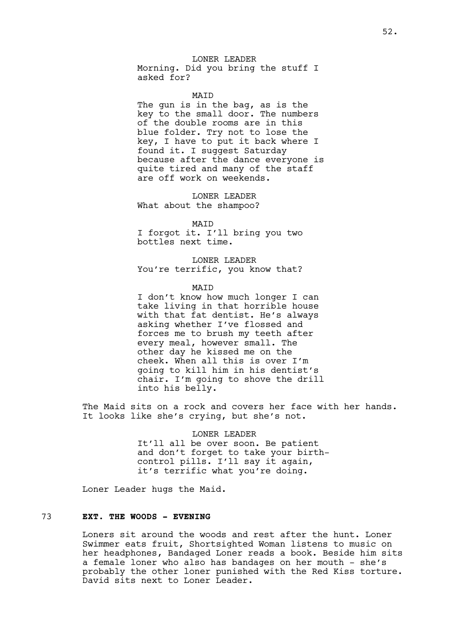### LONER LEADER

Morning. Did you bring the stuff I asked for?

MAID

The gun is in the bag, as is the key to the small door. The numbers of the double rooms are in this blue folder. Try not to lose the key, I have to put it back where I found it. I suggest Saturday because after the dance everyone is quite tired and many of the staff are off work on weekends.

LONER LEADER What about the shampoo?

MAID

I forgot it. I'll bring you two bottles next time.

LONER LEADER You're terrific, you know that?

MAID

I don't know how much longer I can take living in that horrible house with that fat dentist. He's always asking whether I've flossed and forces me to brush my teeth after every meal, however small. The other day he kissed me on the cheek. When all this is over I'm going to kill him in his dentist's chair. I'm going to shove the drill into his belly.

The Maid sits on a rock and covers her face with her hands. It looks like she's crying, but she's not.

> LONER LEADER It'll all be over soon. Be patient and don't forget to take your birthcontrol pills. I'll say it again, it's terrific what you're doing.

Loner Leader hugs the Maid.

## 73 **EXT. THE WOODS - EVENING**

Loners sit around the woods and rest after the hunt. Loner Swimmer eats fruit, Shortsighted Woman listens to music on her headphones, Bandaged Loner reads a book. Beside him sits a female loner who also has bandages on her mouth - she's probably the other loner punished with the Red Kiss torture. David sits next to Loner Leader.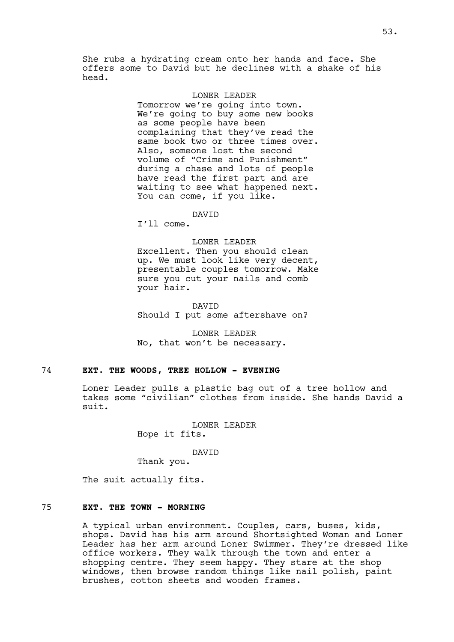She rubs a hydrating cream onto her hands and face. She offers some to David but he declines with a shake of his head.

### LONER LEADER

Tomorrow we're going into town. We're going to buy some new books as some people have been complaining that they've read the same book two or three times over. Also, someone lost the second volume of "Crime and Punishment" during a chase and lots of people have read the first part and are waiting to see what happened next. You can come, if you like.

# **DAVTD**

I'll come.

#### LONER LEADER

Excellent. Then you should clean up. We must look like very decent, presentable couples tomorrow. Make sure you cut your nails and comb your hair.

DAVID Should I put some aftershave on?

LONER LEADER No, that won't be necessary.

## 74 **EXT. THE WOODS, TREE HOLLOW - EVENING**

Loner Leader pulls a plastic bag out of a tree hollow and takes some "civilian" clothes from inside. She hands David a suit.

LONER LEADER

Hope it fits.

#### DAVID

Thank you.

The suit actually fits.

## 75 **EXT. THE TOWN - MORNING**

A typical urban environment. Couples, cars, buses, kids, shops. David has his arm around Shortsighted Woman and Loner Leader has her arm around Loner Swimmer. They're dressed like office workers. They walk through the town and enter a shopping centre. They seem happy. They stare at the shop windows, then browse random things like nail polish, paint brushes, cotton sheets and wooden frames.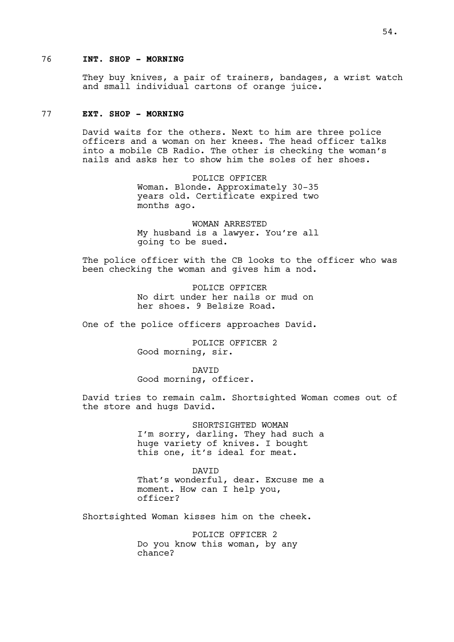## 76 **INT. SHOP - MORNING**

They buy knives, a pair of trainers, bandages, a wrist watch and small individual cartons of orange juice.

### 77 **EXT. SHOP - MORNING**

David waits for the others. Next to him are three police officers and a woman on her knees. The head officer talks into a mobile CB Radio. The other is checking the woman's nails and asks her to show him the soles of her shoes.

> POLICE OFFICER Woman. Blonde. Approximately 30-35 years old. Certificate expired two months ago.

> WOMAN ARRESTED My husband is a lawyer. You're all going to be sued.

The police officer with the CB looks to the officer who was been checking the woman and gives him a nod.

> POLICE OFFICER No dirt under her nails or mud on her shoes. 9 Belsize Road.

One of the police officers approaches David.

POLICE OFFICER 2 Good morning, sir.

DAVID Good morning, officer.

David tries to remain calm. Shortsighted Woman comes out of the store and hugs David.

> SHORTSIGHTED WOMAN I'm sorry, darling. They had such a huge variety of knives. I bought this one, it's ideal for meat.

> DAVID That's wonderful, dear. Excuse me a moment. How can I help you, officer?

Shortsighted Woman kisses him on the cheek.

POLICE OFFICER 2 Do you know this woman, by any chance?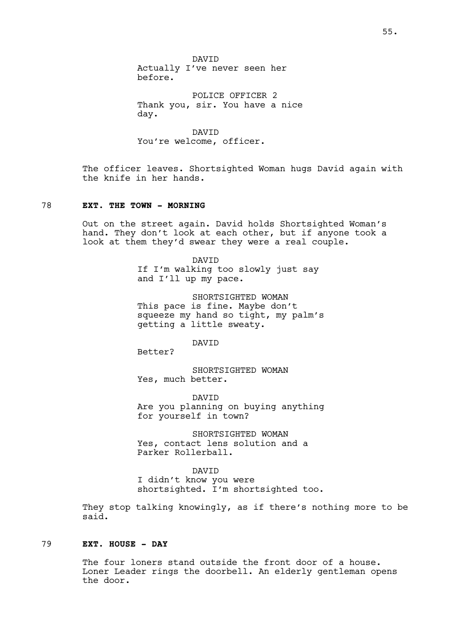DAVID Actually I've never seen her before.

POLICE OFFICER 2 Thank you, sir. You have a nice day.

DAVID You're welcome, officer.

The officer leaves. Shortsighted Woman hugs David again with the knife in her hands.

### 78 **EXT. THE TOWN - MORNING**

Out on the street again. David holds Shortsighted Woman's hand. They don't look at each other, but if anyone took a look at them they'd swear they were a real couple.

> DAVID If I'm walking too slowly just say and I'll up my pace.

SHORTSIGHTED WOMAN This pace is fine. Maybe don't squeeze my hand so tight, my palm's getting a little sweaty.

DAVID

Better?

SHORTSIGHTED WOMAN Yes, much better.

DAVID Are you planning on buying anything for yourself in town?

SHORTSIGHTED WOMAN Yes, contact lens solution and a Parker Rollerball.

DAVID

I didn't know you were shortsighted. I'm shortsighted too.

They stop talking knowingly, as if there's nothing more to be said.

#### 79 **EXT. HOUSE - DAY**

The four loners stand outside the front door of a house. Loner Leader rings the doorbell. An elderly gentleman opens the door.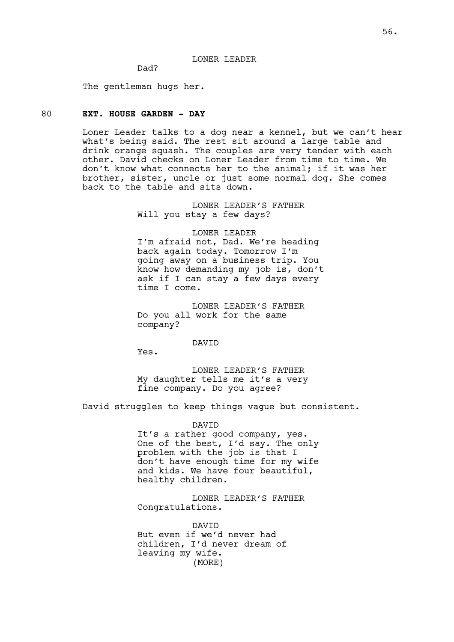#### LONER LEADER

Dad?

The gentleman hugs her.

### 80 **EXT. HOUSE GARDEN - DAY**

Loner Leader talks to a dog near a kennel, but we can't hear what's being said. The rest sit around a large table and drink orange squash. The couples are very tender with each other. David checks on Loner Leader from time to time. We don't know what connects her to the animal; if it was her brother, sister, uncle or just some normal dog. She comes back to the table and sits down.

> LONER LEADER'S FATHER Will you stay a few days?

> > LONER LEADER

I'm afraid not, Dad. We're heading back again today. Tomorrow I'm going away on a business trip. You know how demanding my job is, don't ask if I can stay a few days every time I come.

LONER LEADER'S FATHER Do you all work for the same company?

#### DAVID

Yes.

LONER LEADER'S FATHER My daughter tells me it's a very fine company. Do you agree?

David struggles to keep things vague but consistent.

DAVID

It's a rather good company, yes. One of the best, I'd say. The only problem with the job is that I don't have enough time for my wife and kids. We have four beautiful, healthy children.

LONER LEADER'S FATHER Congratulations.

DAVID But even if we'd never had children, I'd never dream of leaving my wife. (MORE)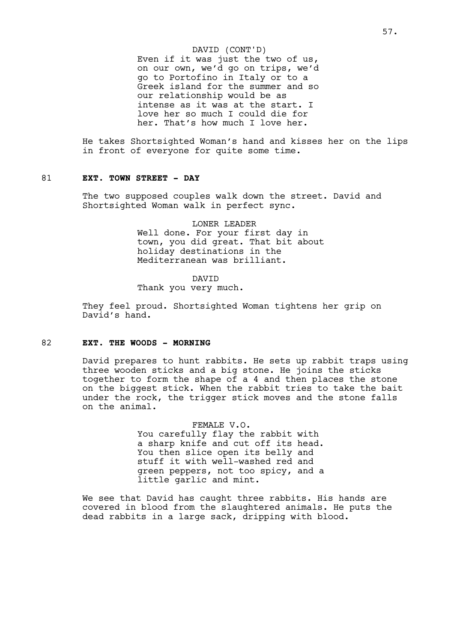#### DAVID (CONT'D)

Even if it was just the two of us, on our own, we'd go on trips, we'd go to Portofino in Italy or to a Greek island for the summer and so our relationship would be as intense as it was at the start. I love her so much I could die for her. That's how much I love her.

He takes Shortsighted Woman's hand and kisses her on the lips in front of everyone for quite some time.

#### 81 **EXT. TOWN STREET - DAY**

The two supposed couples walk down the street. David and Shortsighted Woman walk in perfect sync.

> LONER LEADER Well done. For your first day in town, you did great. That bit about holiday destinations in the Mediterranean was brilliant.

> > DAVID

Thank you very much.

They feel proud. Shortsighted Woman tightens her grip on David's hand.

#### 82 **EXT. THE WOODS - MORNING**

David prepares to hunt rabbits. He sets up rabbit traps using three wooden sticks and a big stone. He joins the sticks together to form the shape of a 4 and then places the stone on the biggest stick. When the rabbit tries to take the bait under the rock, the trigger stick moves and the stone falls on the animal.

> FEMALE V.O. You carefully flay the rabbit with a sharp knife and cut off its head. You then slice open its belly and stuff it with well-washed red and green peppers, not too spicy, and a little garlic and mint.

We see that David has caught three rabbits. His hands are covered in blood from the slaughtered animals. He puts the dead rabbits in a large sack, dripping with blood.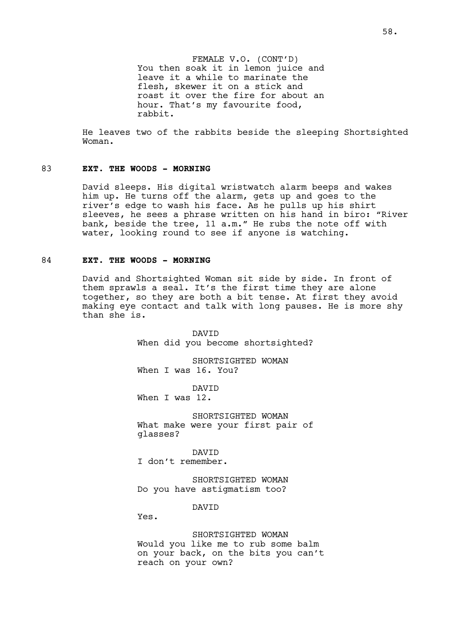FEMALE V.O. (CONT'D) You then soak it in lemon juice and leave it a while to marinate the flesh, skewer it on a stick and roast it over the fire for about an hour. That's my favourite food, rabbit.

He leaves two of the rabbits beside the sleeping Shortsighted Woman.

#### 83 **EXT. THE WOODS - MORNING**

David sleeps. His digital wristwatch alarm beeps and wakes him up. He turns off the alarm, gets up and goes to the river's edge to wash his face. As he pulls up his shirt sleeves, he sees a phrase written on his hand in biro: "River bank, beside the tree, 11 a.m." He rubs the note off with water, looking round to see if anyone is watching.

### 84 **EXT. THE WOODS - MORNING**

David and Shortsighted Woman sit side by side. In front of them sprawls a seal. It's the first time they are alone together, so they are both a bit tense. At first they avoid making eye contact and talk with long pauses. He is more shy than she is.

> DAVID When did you become shortsighted?

SHORTSIGHTED WOMAN When I was 16. You?

DAVID When I was 12.

SHORTSIGHTED WOMAN What make were your first pair of glasses?

DAVID I don't remember.

SHORTSIGHTED WOMAN Do you have astigmatism too?

DAVID

Yes.

SHORTSIGHTED WOMAN Would you like me to rub some balm on your back, on the bits you can't reach on your own?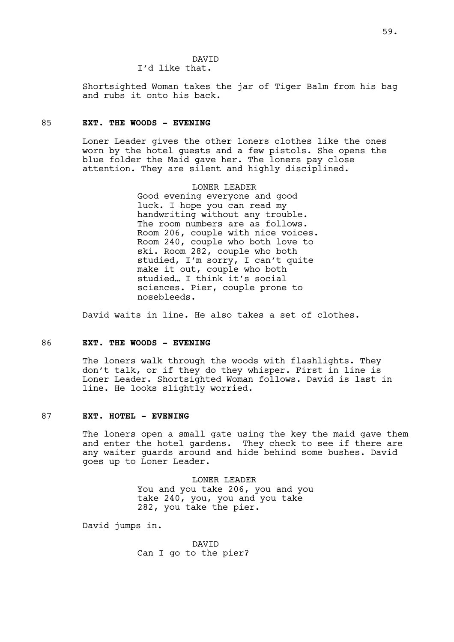DAVID I'd like that.

Shortsighted Woman takes the jar of Tiger Balm from his bag and rubs it onto his back.

### 85 **EXT. THE WOODS - EVENING**

Loner Leader gives the other loners clothes like the ones worn by the hotel guests and a few pistols. She opens the blue folder the Maid gave her. The loners pay close attention. They are silent and highly disciplined.

> LONER LEADER Good evening everyone and good luck. I hope you can read my handwriting without any trouble. The room numbers are as follows. Room 206, couple with nice voices. Room 240, couple who both love to ski. Room 282, couple who both studied, I'm sorry, I can't quite make it out, couple who both studied… I think it's social sciences. Pier, couple prone to nosebleeds.

David waits in line. He also takes a set of clothes.

#### 86 **EXT. THE WOODS - EVENING**

The loners walk through the woods with flashlights. They don't talk, or if they do they whisper. First in line is Loner Leader. Shortsighted Woman follows. David is last in line. He looks slightly worried.

# 87 **EXT. HOTEL - EVENING**

The loners open a small gate using the key the maid gave them and enter the hotel gardens. They check to see if there are any waiter guards around and hide behind some bushes. David goes up to Loner Leader.

> LONER LEADER You and you take 206, you and you take 240, you, you and you take 282, you take the pier.

David jumps in.

DAVID Can I go to the pier?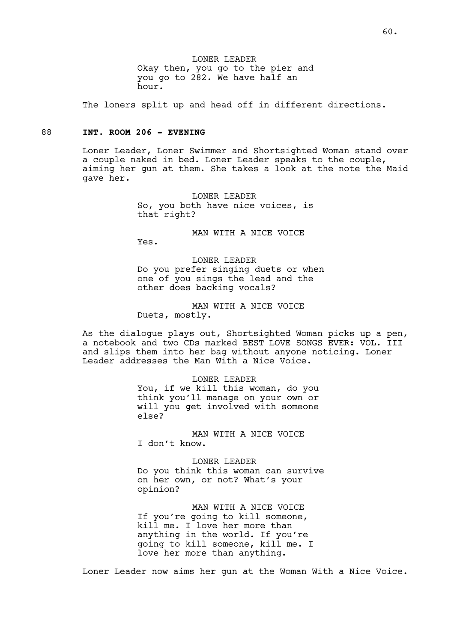LONER LEADER Okay then, you go to the pier and you go to 282. We have half an hour.

The loners split up and head off in different directions.

### 88 **INT. ROOM 206 - EVENING**

Loner Leader, Loner Swimmer and Shortsighted Woman stand over a couple naked in bed. Loner Leader speaks to the couple, aiming her gun at them. She takes a look at the note the Maid gave her.

> LONER LEADER So, you both have nice voices, is that right?

> > MAN WITH A NICE VOICE

Yes.

LONER LEADER Do you prefer singing duets or when one of you sings the lead and the other does backing vocals?

MAN WITH A NICE VOICE Duets, mostly.

As the dialogue plays out, Shortsighted Woman picks up a pen, a notebook and two CDs marked BEST LOVE SONGS EVER: VOL. III and slips them into her bag without anyone noticing. Loner Leader addresses the Man With a Nice Voice.

> LONER LEADER You, if we kill this woman, do you think you'll manage on your own or will you get involved with someone else?

MAN WITH A NICE VOICE I don't know.

LONER LEADER Do you think this woman can survive on her own, or not? What's your opinion?

MAN WITH A NICE VOICE If you're going to kill someone, kill me. I love her more than anything in the world. If you're going to kill someone, kill me. I love her more than anything.

Loner Leader now aims her gun at the Woman With a Nice Voice.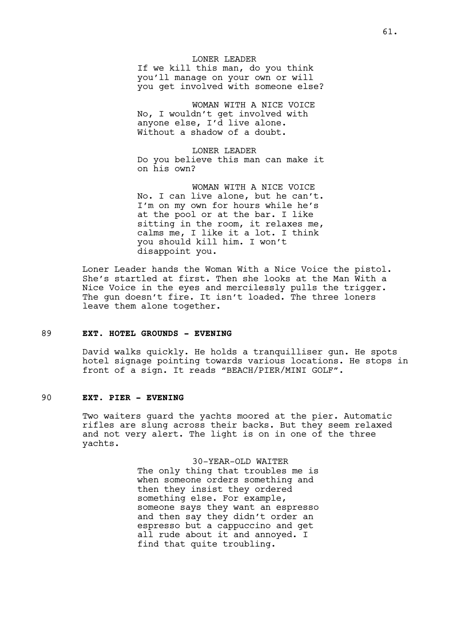LONER LEADER If we kill this man, do you think you'll manage on your own or will you get involved with someone else?

WOMAN WITH A NICE VOICE No, I wouldn't get involved with anyone else, I'd live alone. Without a shadow of a doubt.

LONER LEADER Do you believe this man can make it on his own?

WOMAN WITH A NICE VOICE No. I can live alone, but he can't. I'm on my own for hours while he's at the pool or at the bar. I like sitting in the room, it relaxes me, calms me, I like it a lot. I think you should kill him. I won't disappoint you.

Loner Leader hands the Woman With a Nice Voice the pistol. She's startled at first. Then she looks at the Man With a Nice Voice in the eyes and mercilessly pulls the trigger. The gun doesn't fire. It isn't loaded. The three loners leave them alone together.

## 89 **EXT. HOTEL GROUNDS - EVENING**

David walks quickly. He holds a tranquilliser gun. He spots hotel signage pointing towards various locations. He stops in front of a sign. It reads "BEACH/PIER/MINI GOLF".

## 90 **EXT. PIER - EVENING**

Two waiters guard the yachts moored at the pier. Automatic rifles are slung across their backs. But they seem relaxed and not very alert. The light is on in one of the three yachts.

> 30-YEAR-OLD WAITER The only thing that troubles me is when someone orders something and then they insist they ordered something else. For example, someone says they want an espresso and then say they didn't order an espresso but a cappuccino and get all rude about it and annoyed. I find that quite troubling.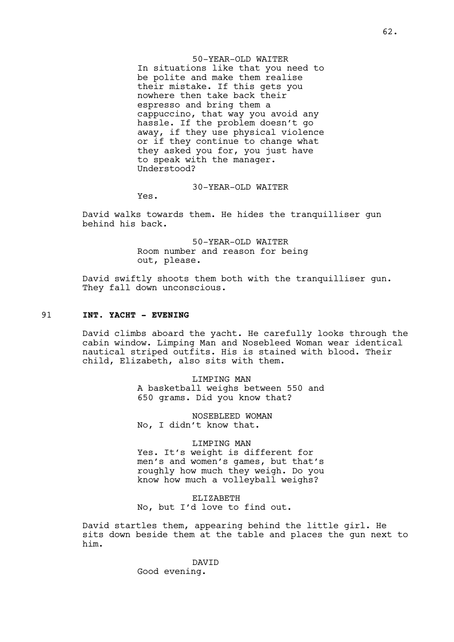50-YEAR-OLD WAITER In situations like that you need to be polite and make them realise their mistake. If this gets you nowhere then take back their espresso and bring them a cappuccino, that way you avoid any hassle. If the problem doesn't go away, if they use physical violence or if they continue to change what they asked you for, you just have to speak with the manager. Understood?

### 30-YEAR-OLD WAITER

Yes.

David walks towards them. He hides the tranquilliser gun behind his back.

> 50-YEAR-OLD WAITER Room number and reason for being out, please.

David swiftly shoots them both with the tranquilliser gun. They fall down unconscious.

### 91 **INT. YACHT - EVENING**

David climbs aboard the yacht. He carefully looks through the cabin window. Limping Man and Nosebleed Woman wear identical nautical striped outfits. His is stained with blood. Their child, Elizabeth, also sits with them.

> LIMPING MAN A basketball weighs between 550 and 650 grams. Did you know that?

NOSEBLEED WOMAN No, I didn't know that.

#### LIMPING MAN

Yes. It's weight is different for men's and women's games, but that's roughly how much they weigh. Do you know how much a volleyball weighs?

ELIZABETH

No, but I'd love to find out.

David startles them, appearing behind the little girl. He sits down beside them at the table and places the gun next to him.

> DAVID Good evening.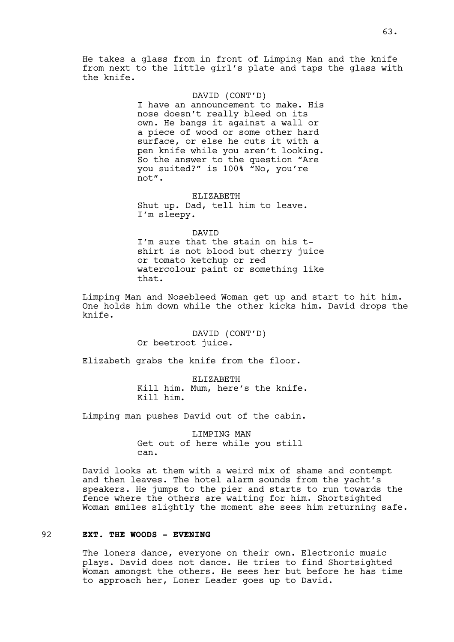#### DAVID (CONT'D)

I have an announcement to make. His nose doesn't really bleed on its own. He bangs it against a wall or a piece of wood or some other hard surface, or else he cuts it with a pen knife while you aren't looking. So the answer to the question "Are you suited?" is 100% "No, you're not".

ELIZABETH Shut up. Dad, tell him to leave. I'm sleepy.

#### DAVID

I'm sure that the stain on his tshirt is not blood but cherry juice or tomato ketchup or red watercolour paint or something like that.

Limping Man and Nosebleed Woman get up and start to hit him. One holds him down while the other kicks him. David drops the knife.

> DAVID (CONT'D) Or beetroot juice.

Elizabeth grabs the knife from the floor.

ELIZABETH Kill him. Mum, here's the knife. Kill him.

Limping man pushes David out of the cabin.

LIMPING MAN Get out of here while you still can.

David looks at them with a weird mix of shame and contempt and then leaves. The hotel alarm sounds from the yacht's speakers. He jumps to the pier and starts to run towards the fence where the others are waiting for him. Shortsighted Woman smiles slightly the moment she sees him returning safe.

### 92 **EXT. THE WOODS - EVENING**

The loners dance, everyone on their own. Electronic music plays. David does not dance. He tries to find Shortsighted Woman amongst the others. He sees her but before he has time to approach her, Loner Leader goes up to David.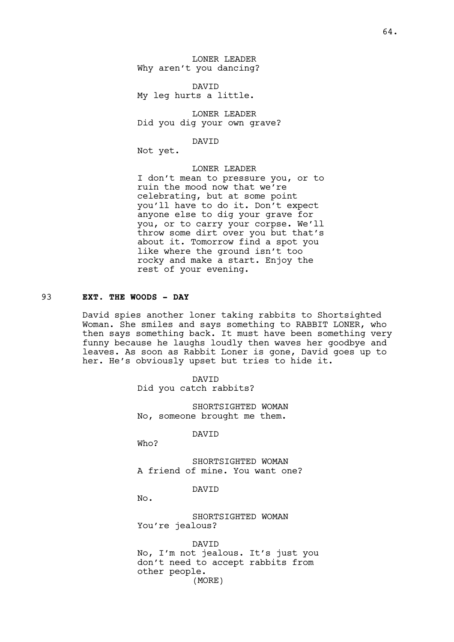LONER LEADER Why aren't you dancing?

DAVID My leg hurts a little.

LONER LEADER Did you dig your own grave?

DAVID

Not yet.

LONER LEADER I don't mean to pressure you, or to ruin the mood now that we're celebrating, but at some point you'll have to do it. Don't expect anyone else to dig your grave for you, or to carry your corpse. We'll throw some dirt over you but that's about it. Tomorrow find a spot you like where the ground isn't too rocky and make a start. Enjoy the rest of your evening.

# 93 **EXT. THE WOODS - DAY**

David spies another loner taking rabbits to Shortsighted Woman. She smiles and says something to RABBIT LONER, who then says something back. It must have been something very funny because he laughs loudly then waves her goodbye and leaves. As soon as Rabbit Loner is gone, David goes up to her. He's obviously upset but tries to hide it.

> DAVID Did you catch rabbits?

SHORTSIGHTED WOMAN No, someone brought me them.

DAVID

Who?

SHORTSIGHTED WOMAN A friend of mine. You want one?

DAVID

No.

SHORTSIGHTED WOMAN You're jealous?

DAVID No, I'm not jealous. It's just you don't need to accept rabbits from other people. (MORE)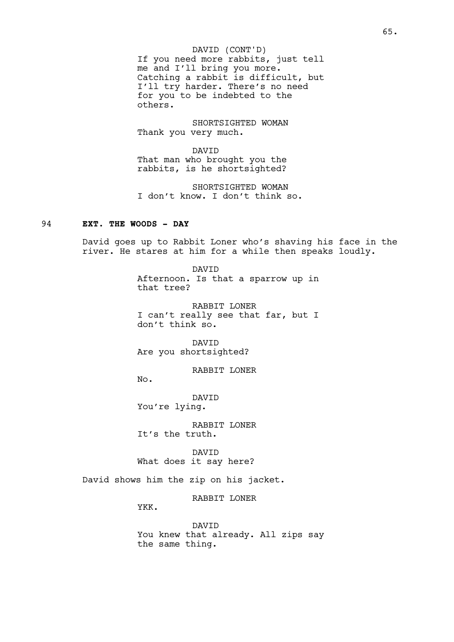If you need more rabbits, just tell me and I'll bring you more. Catching a rabbit is difficult, but I'll try harder. There's no need for you to be indebted to the others. DAVID (CONT'D)

SHORTSIGHTED WOMAN Thank you very much.

DAVID That man who brought you the rabbits, is he shortsighted?

SHORTSIGHTED WOMAN I don't know. I don't think so.

# 94 **EXT. THE WOODS - DAY**

David goes up to Rabbit Loner who's shaving his face in the river. He stares at him for a while then speaks loudly.

> DAVID Afternoon. Is that a sparrow up in that tree?

> RABBIT LONER I can't really see that far, but I don't think so.

DAVID Are you shortsighted?

RABBIT LONER

No.

DAVID You're lying.

RABBIT LONER It's the truth.

DAVID What does it say here?

David shows him the zip on his jacket.

RABBIT LONER

YKK.

DAVID You knew that already. All zips say the same thing.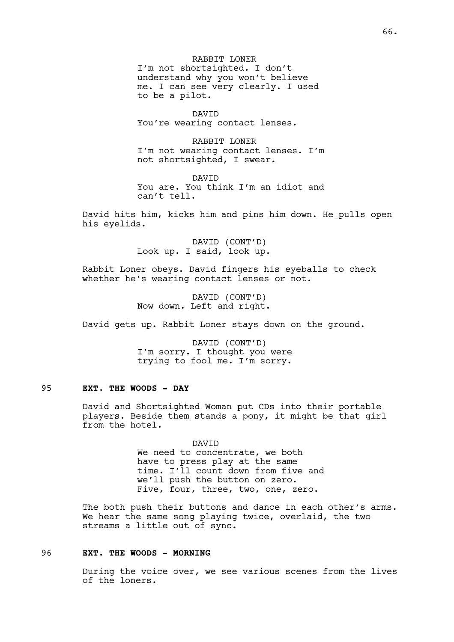RABBIT LONER I'm not shortsighted. I don't understand why you won't believe me. I can see very clearly. I used to be a pilot.

DAVID You're wearing contact lenses.

RABBIT LONER I'm not wearing contact lenses. I'm not shortsighted, I swear.

DAVID You are. You think I'm an idiot and can't tell.

David hits him, kicks him and pins him down. He pulls open his eyelids.

> DAVID (CONT'D) Look up. I said, look up.

Rabbit Loner obeys. David fingers his eyeballs to check whether he's wearing contact lenses or not.

> DAVID (CONT'D) Now down. Left and right.

David gets up. Rabbit Loner stays down on the ground.

DAVID (CONT'D) I'm sorry. I thought you were trying to fool me. I'm sorry.

# 95 **EXT. THE WOODS - DAY**

David and Shortsighted Woman put CDs into their portable players. Beside them stands a pony, it might be that girl from the hotel.

> DAVID We need to concentrate, we both have to press play at the same time. I'll count down from five and we'll push the button on zero. Five, four, three, two, one, zero.

The both push their buttons and dance in each other's arms. We hear the same song playing twice, overlaid, the two streams a little out of sync.

# 96 **EXT. THE WOODS - MORNING**

During the voice over, we see various scenes from the lives of the loners.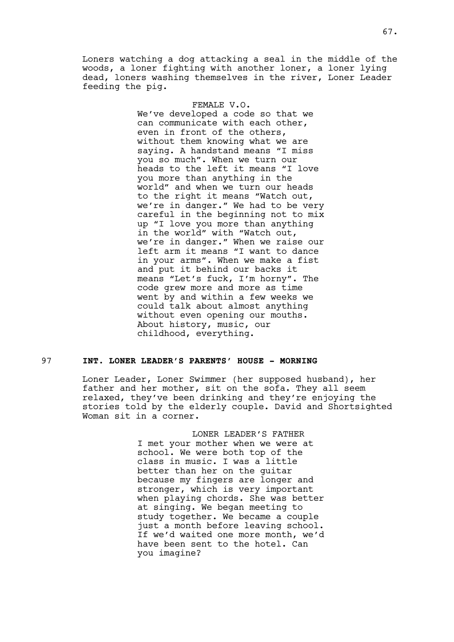Loners watching a dog attacking a seal in the middle of the woods, a loner fighting with another loner, a loner lying dead, loners washing themselves in the river, Loner Leader feeding the pig.

#### FEMALE V.O.

We've developed a code so that we can communicate with each other, even in front of the others, without them knowing what we are saying. A handstand means "I miss you so much". When we turn our heads to the left it means "I love you more than anything in the world" and when we turn our heads to the right it means "Watch out, we're in danger." We had to be very careful in the beginning not to mix up "I love you more than anything in the world" with "Watch out, we're in danger." When we raise our left arm it means "I want to dance in your arms". When we make a fist and put it behind our backs it means "Let's fuck, I'm horny". The code grew more and more as time went by and within a few weeks we could talk about almost anything without even opening our mouths. About history, music, our childhood, everything.

#### 97 **INT. LONER LEADER'S PARENTS' HOUSE - MORNING**

Loner Leader, Loner Swimmer (her supposed husband), her father and her mother, sit on the sofa. They all seem relaxed, they've been drinking and they're enjoying the stories told by the elderly couple. David and Shortsighted Woman sit in a corner.

> LONER LEADER'S FATHER I met your mother when we were at school. We were both top of the class in music. I was a little better than her on the guitar because my fingers are longer and stronger, which is very important when playing chords. She was better at singing. We began meeting to study together. We became a couple just a month before leaving school. If we'd waited one more month, we'd have been sent to the hotel. Can you imagine?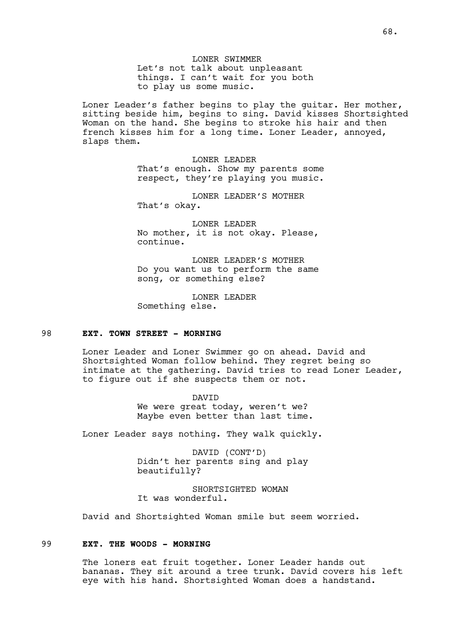LONER SWIMMER Let's not talk about unpleasant things. I can't wait for you both to play us some music.

Loner Leader's father begins to play the guitar. Her mother, sitting beside him, begins to sing. David kisses Shortsighted Woman on the hand. She begins to stroke his hair and then french kisses him for a long time. Loner Leader, annoyed, slaps them.

> LONER LEADER That's enough. Show my parents some respect, they're playing you music.

LONER LEADER'S MOTHER That's okay.

LONER LEADER No mother, it is not okay. Please, continue.

LONER LEADER'S MOTHER Do you want us to perform the same song, or something else?

LONER LEADER Something else.

### 98 **EXT. TOWN STREET - MORNING**

Loner Leader and Loner Swimmer go on ahead. David and Shortsighted Woman follow behind. They regret being so intimate at the gathering. David tries to read Loner Leader, to figure out if she suspects them or not.

> DAVID We were great today, weren't we? Maybe even better than last time.

Loner Leader says nothing. They walk quickly.

DAVID (CONT'D) Didn't her parents sing and play beautifully?

SHORTSIGHTED WOMAN It was wonderful.

David and Shortsighted Woman smile but seem worried.

#### 99 **EXT. THE WOODS - MORNING**

The loners eat fruit together. Loner Leader hands out bananas. They sit around a tree trunk. David covers his left eye with his hand. Shortsighted Woman does a handstand.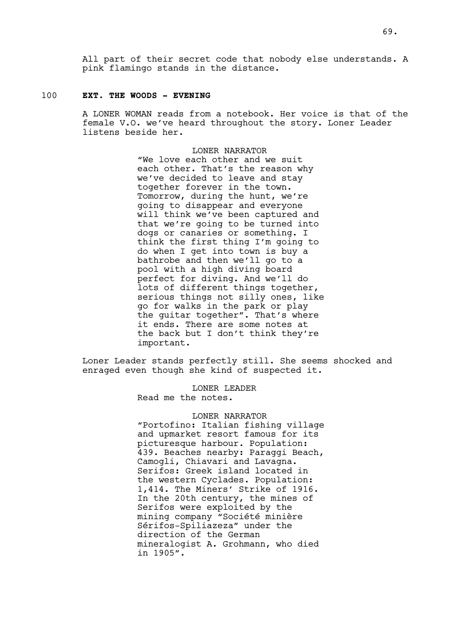All part of their secret code that nobody else understands. A pink flamingo stands in the distance.

### 100 **EXT. THE WOODS - EVENING**

A LONER WOMAN reads from a notebook. Her voice is that of the female V.O. we've heard throughout the story. Loner Leader listens beside her.

> LONER NARRATOR "We love each other and we suit each other. That's the reason why we've decided to leave and stay together forever in the town. Tomorrow, during the hunt, we're going to disappear and everyone will think we've been captured and that we're going to be turned into dogs or canaries or something. I think the first thing I'm going to do when I get into town is buy a bathrobe and then we'll go to a pool with a high diving board perfect for diving. And we'll do lots of different things together, serious things not silly ones, like go for walks in the park or play the guitar together". That's where it ends. There are some notes at the back but I don't think they're important.

Loner Leader stands perfectly still. She seems shocked and enraged even though she kind of suspected it.

> LONER LEADER Read me the notes.

### LONER NARRATOR

"Portofino: Italian fishing village and upmarket resort famous for its picturesque harbour. Population: 439. Beaches nearby: Paraggi Beach, Camogli, Chiavari and Lavagna. Serifos: Greek island located in the western Cyclades. Population: 1,414. The Miners' Strike of 1916. In the 20th century, the mines of Serifos were exploited by the mining company "Société minière Sérifos-Spiliazeza" under the direction of the German mineralogist A. Grohmann, who died in 1905".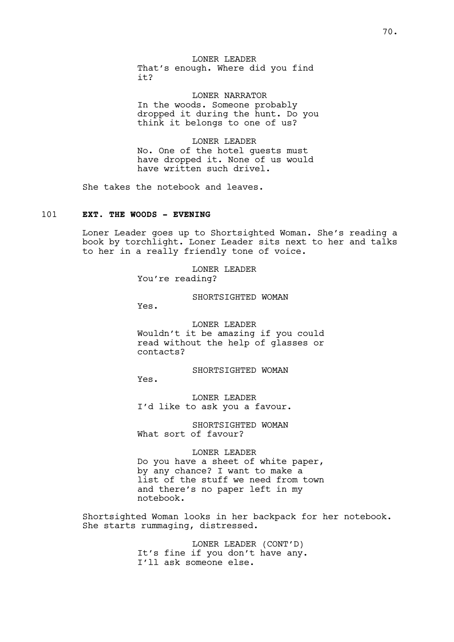LONER LEADER That's enough. Where did you find it?

LONER NARRATOR In the woods. Someone probably dropped it during the hunt. Do you think it belongs to one of us?

LONER LEADER No. One of the hotel guests must have dropped it. None of us would have written such drivel.

She takes the notebook and leaves.

## 101 **EXT. THE WOODS - EVENING**

Loner Leader goes up to Shortsighted Woman. She's reading a book by torchlight. Loner Leader sits next to her and talks to her in a really friendly tone of voice.

> LONER LEADER You're reading?

> > SHORTSIGHTED WOMAN

Yes.

LONER LEADER Wouldn't it be amazing if you could read without the help of glasses or contacts?

SHORTSIGHTED WOMAN

Yes.

LONER LEADER I'd like to ask you a favour.

SHORTSIGHTED WOMAN What sort of favour?

LONER LEADER

Do you have a sheet of white paper, by any chance? I want to make a list of the stuff we need from town and there's no paper left in my notebook.

Shortsighted Woman looks in her backpack for her notebook. She starts rummaging, distressed.

> LONER LEADER (CONT'D) It's fine if you don't have any. I'll ask someone else.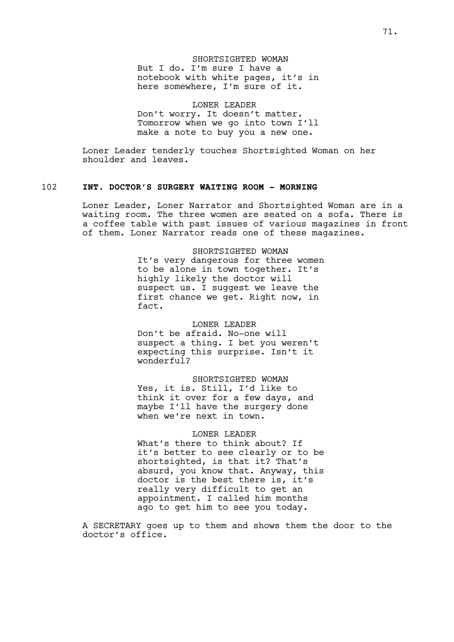## SHORTSIGHTED WOMAN But I do. I'm sure I have a notebook with white pages, it's in here somewhere, I'm sure of it.

#### LONER LEADER

Don't worry. It doesn't matter. Tomorrow when we go into town I'll make a note to buy you a new one.

Loner Leader tenderly touches Shortsighted Woman on her shoulder and leaves.

### 102 **INT. DOCTOR'S SURGERY WAITING ROOM - MORNING**

Loner Leader, Loner Narrator and Shortsighted Woman are in a waiting room. The three women are seated on a sofa. There is a coffee table with past issues of various magazines in front of them. Loner Narrator reads one of these magazines.

> SHORTSIGHTED WOMAN It's very dangerous for three women to be alone in town together. It's highly likely the doctor will suspect us. I suggest we leave the first chance we get. Right now, in fact.

#### LONER LEADER

Don't be afraid. No-one will suspect a thing. I bet you weren't expecting this surprise. Isn't it wonderful?

SHORTSIGHTED WOMAN Yes, it is. Still, I'd like to think it over for a few days, and maybe I'll have the surgery done when we're next in town.

#### LONER LEADER

What's there to think about? If it's better to see clearly or to be shortsighted, is that it? That's absurd, you know that. Anyway, this doctor is the best there is, it's really very difficult to get an appointment. I called him months ago to get him to see you today.

A SECRETARY goes up to them and shows them the door to the doctor's office.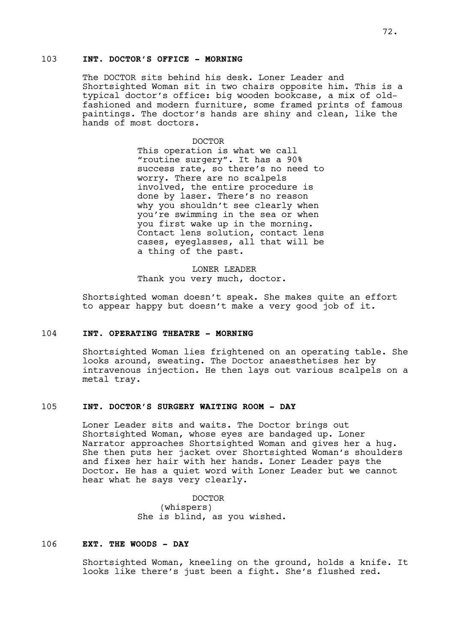## 103 **INT. DOCTOR'S OFFICE - MORNING**

The DOCTOR sits behind his desk. Loner Leader and Shortsighted Woman sit in two chairs opposite him. This is a typical doctor's office: big wooden bookcase, a mix of oldfashioned and modern furniture, some framed prints of famous paintings. The doctor's hands are shiny and clean, like the hands of most doctors.

#### DOCTOR

This operation is what we call "routine surgery". It has a 90% success rate, so there's no need to worry. There are no scalpels involved, the entire procedure is done by laser. There's no reason why you shouldn't see clearly when you're swimming in the sea or when you first wake up in the morning. Contact lens solution, contact lens cases, eyeglasses, all that will be a thing of the past.

## LONER LEADER Thank you very much, doctor.

Shortsighted woman doesn't speak. She makes quite an effort to appear happy but doesn't make a very good job of it.

## 104 **INT. OPERATING THEATRE - MORNING**

Shortsighted Woman lies frightened on an operating table. She looks around, sweating. The Doctor anaesthetises her by intravenous injection. He then lays out various scalpels on a metal tray.

## 105 **INT. DOCTOR'S SURGERY WAITING ROOM - DAY**

Loner Leader sits and waits. The Doctor brings out Shortsighted Woman, whose eyes are bandaged up. Loner Narrator approaches Shortsighted Woman and gives her a hug. She then puts her jacket over Shortsighted Woman's shoulders and fixes her hair with her hands. Loner Leader pays the Doctor. He has a quiet word with Loner Leader but we cannot hear what he says very clearly.

> DOCTOR (whispers) She is blind, as you wished.

## 106 **EXT. THE WOODS - DAY**

Shortsighted Woman, kneeling on the ground, holds a knife. It looks like there's just been a fight. She's flushed red.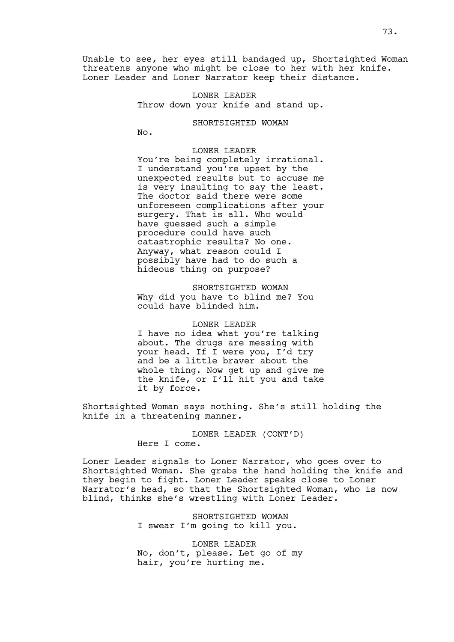Unable to see, her eyes still bandaged up, Shortsighted Woman threatens anyone who might be close to her with her knife. Loner Leader and Loner Narrator keep their distance.

> LONER LEADER Throw down your knife and stand up.

> > SHORTSIGHTED WOMAN

No.

### LONER LEADER

You're being completely irrational. I understand you're upset by the unexpected results but to accuse me is very insulting to say the least. The doctor said there were some unforeseen complications after your surgery. That is all. Who would have guessed such a simple procedure could have such catastrophic results? No one. Anyway, what reason could I possibly have had to do such a hideous thing on purpose?

SHORTSIGHTED WOMAN Why did you have to blind me? You could have blinded him.

#### LONER LEADER

I have no idea what you're talking about. The drugs are messing with your head. If I were you, I'd try and be a little braver about the whole thing. Now get up and give me the knife, or I'll hit you and take it by force.

Shortsighted Woman says nothing. She's still holding the knife in a threatening manner.

> LONER LEADER (CONT'D) Here I come.

Loner Leader signals to Loner Narrator, who goes over to Shortsighted Woman. She grabs the hand holding the knife and they begin to fight. Loner Leader speaks close to Loner Narrator's head, so that the Shortsighted Woman, who is now blind, thinks she's wrestling with Loner Leader.

> SHORTSIGHTED WOMAN I swear I'm going to kill you.

LONER LEADER No, don't, please. Let go of my hair, you're hurting me.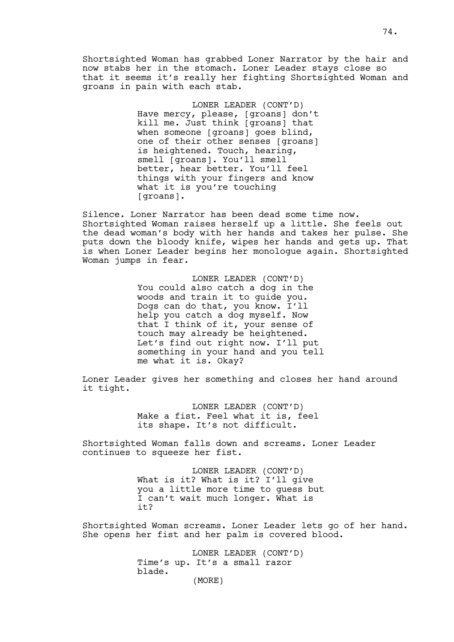Shortsighted Woman has grabbed Loner Narrator by the hair and now stabs her in the stomach. Loner Leader stays close so that it seems it's really her fighting Shortsighted Woman and groans in pain with each stab.

> LONER LEADER (CONT'D) Have mercy, please, [groans] don't kill me. Just think [groans] that when someone [groans] goes blind, one of their other senses [groans] is heightened. Touch, hearing, smell [groans]. You'll smell better, hear better. You'll feel things with your fingers and know what it is you're touching [groans].

Silence. Loner Narrator has been dead some time now. Shortsighted Woman raises herself up a little. She feels out the dead woman's body with her hands and takes her pulse. She puts down the bloody knife, wipes her hands and gets up. That is when Loner Leader begins her monologue again. Shortsighted Woman jumps in fear.

> LONER LEADER (CONT'D) You could also catch a dog in the woods and train it to guide you. Dogs can do that, you know. I'll help you catch a dog myself. Now that I think of it, your sense of touch may already be heightened. Let's find out right now. I'll put something in your hand and you tell me what it is. Okay?

Loner Leader gives her something and closes her hand around it tight.

> LONER LEADER (CONT'D) Make a fist. Feel what it is, feel its shape. It's not difficult.

Shortsighted Woman falls down and screams. Loner Leader continues to squeeze her fist.

> LONER LEADER (CONT'D) What is it? What is it? I'll give you a little more time to guess but I can't wait much longer. What is  $i+2$

Shortsighted Woman screams. Loner Leader lets go of her hand. She opens her fist and her palm is covered blood.

> LONER LEADER (CONT'D) Time's up. It's a small razor blade. (MORE)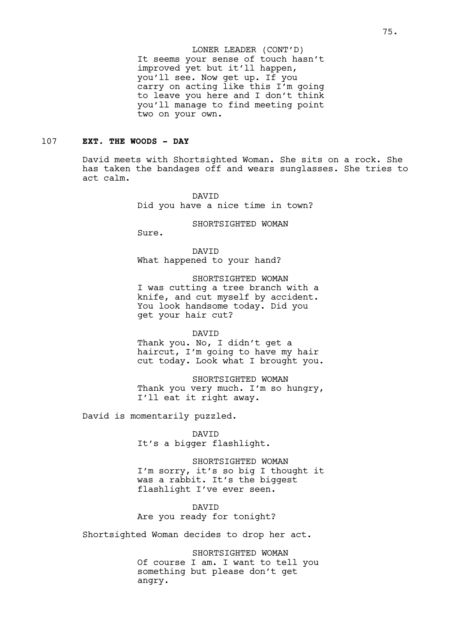It seems your sense of touch hasn't improved yet but it'll happen, you'll see. Now get up. If you carry on acting like this I'm going to leave you here and I don't think you'll manage to find meeting point two on your own. LONER LEADER (CONT'D)

## 107 **EXT. THE WOODS - DAY**

David meets with Shortsighted Woman. She sits on a rock. She has taken the bandages off and wears sunglasses. She tries to act calm.

> DAVID Did you have a nice time in town?

> > SHORTSIGHTED WOMAN

Sure.

DAVID What happened to your hand?

SHORTSIGHTED WOMAN

I was cutting a tree branch with a knife, and cut myself by accident. You look handsome today. Did you get your hair cut?

#### DAVID

Thank you. No, I didn't get a haircut, I'm going to have my hair cut today. Look what I brought you.

SHORTSIGHTED WOMAN Thank you very much. I'm so hungry, I'll eat it right away.

David is momentarily puzzled.

DAVID It's a bigger flashlight.

SHORTSIGHTED WOMAN

I'm sorry, it's so big I thought it was a rabbit. It's the biggest flashlight I've ever seen.

DAVID Are you ready for tonight?

Shortsighted Woman decides to drop her act.

SHORTSIGHTED WOMAN Of course I am. I want to tell you something but please don't get angry.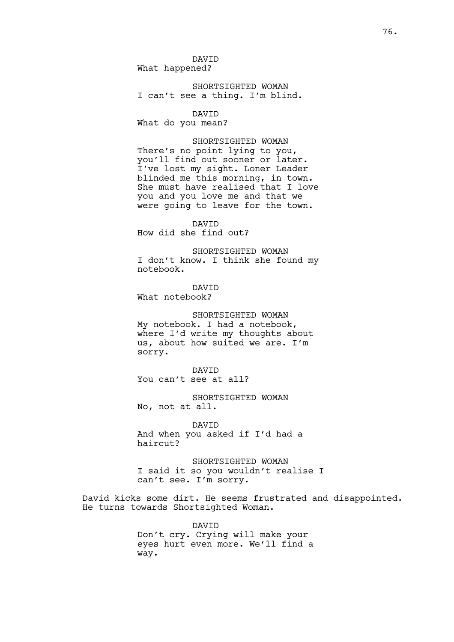DAVID What happened?

SHORTSIGHTED WOMAN I can't see a thing. I'm blind.

DAVID

What do you mean?

SHORTSIGHTED WOMAN There's no point lying to you, you'll find out sooner or later. I've lost my sight. Loner Leader blinded me this morning, in town. She must have realised that I love you and you love me and that we were going to leave for the town.

DAVID How did she find out?

SHORTSIGHTED WOMAN I don't know. I think she found my notebook.

DAVID What notebook?

SHORTSIGHTED WOMAN My notebook. I had a notebook, where I'd write my thoughts about us, about how suited we are. I'm sorry.

DAVID You can't see at all?

SHORTSIGHTED WOMAN No, not at all.

DAVID And when you asked if I'd had a haircut?

SHORTSIGHTED WOMAN I said it so you wouldn't realise I can't see. I'm sorry.

David kicks some dirt. He seems frustrated and disappointed. He turns towards Shortsighted Woman.

> DAVID Don't cry. Crying will make your eyes hurt even more. We'll find a way.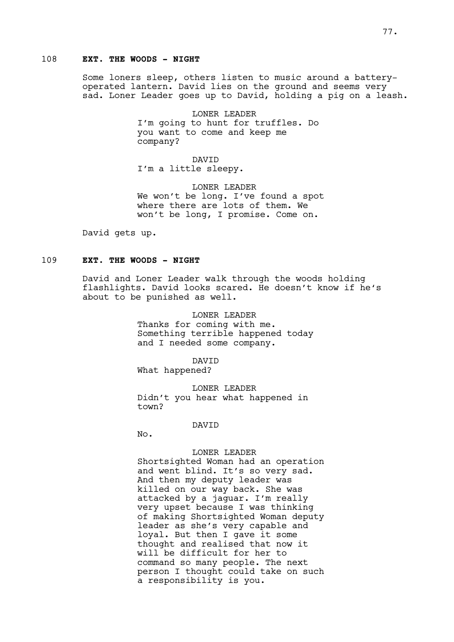## 108 **EXT. THE WOODS - NIGHT**

Some loners sleep, others listen to music around a batteryoperated lantern. David lies on the ground and seems very sad. Loner Leader goes up to David, holding a pig on a leash.

> LONER LEADER I'm going to hunt for truffles. Do you want to come and keep me company?

DAVID I'm a little sleepy.

LONER LEADER We won't be long. I've found a spot where there are lots of them. We won't be long, I promise. Come on.

David gets up.

## 109 **EXT. THE WOODS - NIGHT**

David and Loner Leader walk through the woods holding flashlights. David looks scared. He doesn't know if he's about to be punished as well.

> LONER LEADER Thanks for coming with me. Something terrible happened today and I needed some company.

DAVID What happened?

LONER LEADER Didn't you hear what happened in town?

#### DAVID

No.

#### LONER LEADER

Shortsighted Woman had an operation and went blind. It's so very sad. And then my deputy leader was killed on our way back. She was attacked by a jaguar. I'm really very upset because I was thinking of making Shortsighted Woman deputy leader as she's very capable and loyal. But then I gave it some thought and realised that now it will be difficult for her to command so many people. The next person I thought could take on such a responsibility is you.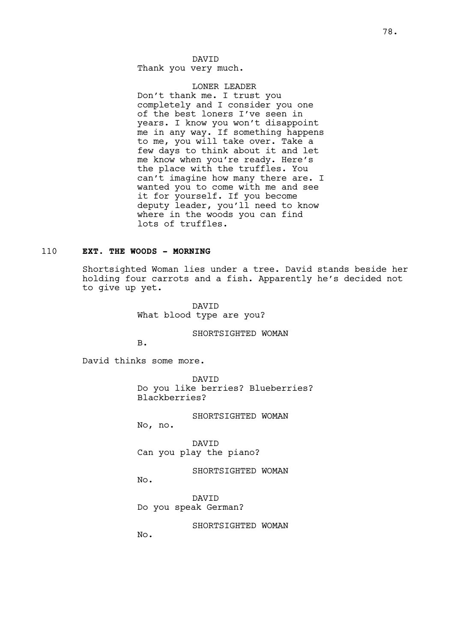Thank you very much.

#### LONER LEADER

Don't thank me. I trust you completely and I consider you one of the best loners I've seen in years. I know you won't disappoint me in any way. If something happens to me, you will take over. Take a few days to think about it and let me know when you're ready. Here's the place with the truffles. You can't imagine how many there are. I wanted you to come with me and see it for yourself. If you become deputy leader, you'll need to know where in the woods you can find lots of truffles.

## 110 **EXT. THE WOODS - MORNING**

Shortsighted Woman lies under a tree. David stands beside her holding four carrots and a fish. Apparently he's decided not to give up yet.

> DAVID What blood type are you?

> > SHORTSIGHTED WOMAN

B.

David thinks some more.

DAVID Do you like berries? Blueberries? Blackberries?

SHORTSIGHTED WOMAN

No, no.

DAVID Can you play the piano?

SHORTSIGHTED WOMAN

No.

DAVID Do you speak German?

SHORTSIGHTED WOMAN

No.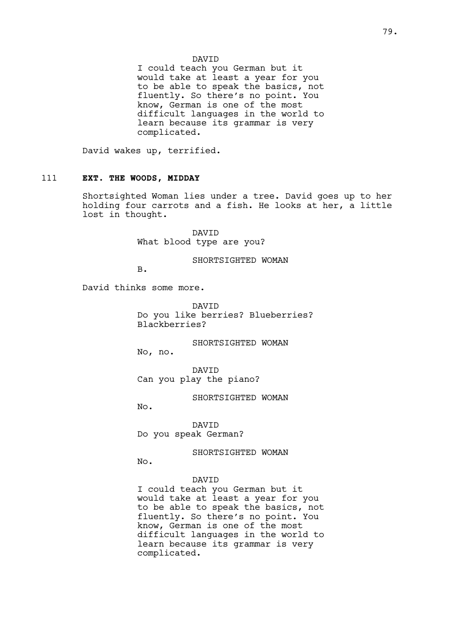## DAVID

I could teach you German but it would take at least a year for you to be able to speak the basics, not fluently. So there's no point. You know, German is one of the most difficult languages in the world to learn because its grammar is very complicated.

David wakes up, terrified.

### 111 **EXT. THE WOODS, MIDDAY**

Shortsighted Woman lies under a tree. David goes up to her holding four carrots and a fish. He looks at her, a little lost in thought.

> DAVID What blood type are you?

> > SHORTSIGHTED WOMAN

B.

David thinks some more.

DAVID Do you like berries? Blueberries? Blackberries?

SHORTSIGHTED WOMAN

No, no.

DAVID Can you play the piano?

SHORTSIGHTED WOMAN

No.

DAVID Do you speak German?

SHORTSIGHTED WOMAN

No.

# DAVID

I could teach you German but it would take at least a year for you to be able to speak the basics, not fluently. So there's no point. You know, German is one of the most difficult languages in the world to learn because its grammar is very complicated.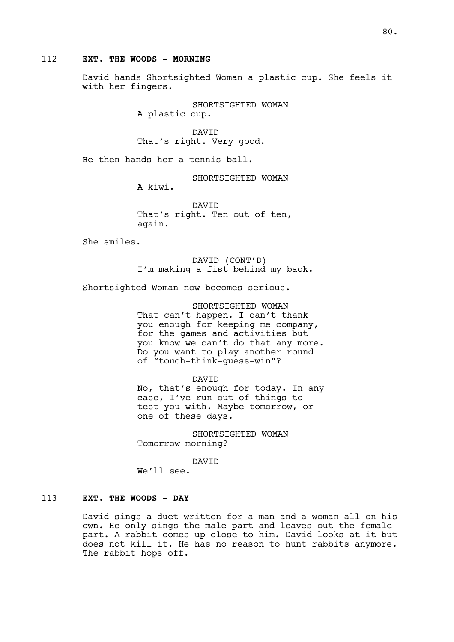### 112 **EXT. THE WOODS - MORNING**

David hands Shortsighted Woman a plastic cup. She feels it with her fingers.

> SHORTSIGHTED WOMAN A plastic cup.

DAVID That's right. Very good.

He then hands her a tennis ball.

SHORTSIGHTED WOMAN

A kiwi.

DAVID That's right. Ten out of ten, again.

She smiles.

DAVID (CONT'D) I'm making a fist behind my back.

Shortsighted Woman now becomes serious.

SHORTSIGHTED WOMAN That can't happen. I can't thank you enough for keeping me company, for the games and activities but you know we can't do that any more. Do you want to play another round of "touch-think-guess-win"?

DAVID No, that's enough for today. In any case, I've run out of things to test you with. Maybe tomorrow, or one of these days.

SHORTSIGHTED WOMAN Tomorrow morning?

DAVID

We'll see.

## 113 **EXT. THE WOODS - DAY**

David sings a duet written for a man and a woman all on his own. He only sings the male part and leaves out the female part. A rabbit comes up close to him. David looks at it but does not kill it. He has no reason to hunt rabbits anymore. The rabbit hops off.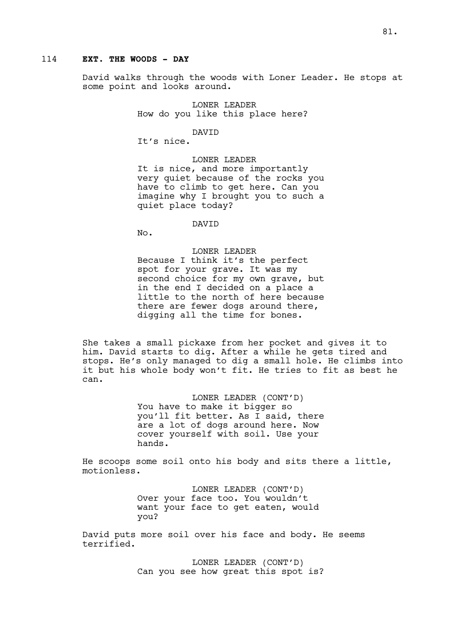## 114 **EXT. THE WOODS - DAY**

David walks through the woods with Loner Leader. He stops at some point and looks around.

> LONER LEADER How do you like this place here?

> > DAVID

It's nice.

LONER LEADER It is nice, and more importantly very quiet because of the rocks you have to climb to get here. Can you imagine why I brought you to such a quiet place today?

**DAVTD** 

No.

#### LONER LEADER

Because I think it's the perfect spot for your grave. It was my second choice for my own grave, but in the end I decided on a place a little to the north of here because there are fewer dogs around there, digging all the time for bones.

She takes a small pickaxe from her pocket and gives it to him. David starts to dig. After a while he gets tired and stops. He's only managed to dig a small hole. He climbs into it but his whole body won't fit. He tries to fit as best he can.

> LONER LEADER (CONT'D) You have to make it bigger so you'll fit better. As I said, there are a lot of dogs around here. Now cover yourself with soil. Use your hands.

He scoops some soil onto his body and sits there a little, motionless.

> LONER LEADER (CONT'D) Over your face too. You wouldn't want your face to get eaten, would you?

David puts more soil over his face and body. He seems terrified.

> LONER LEADER (CONT'D) Can you see how great this spot is?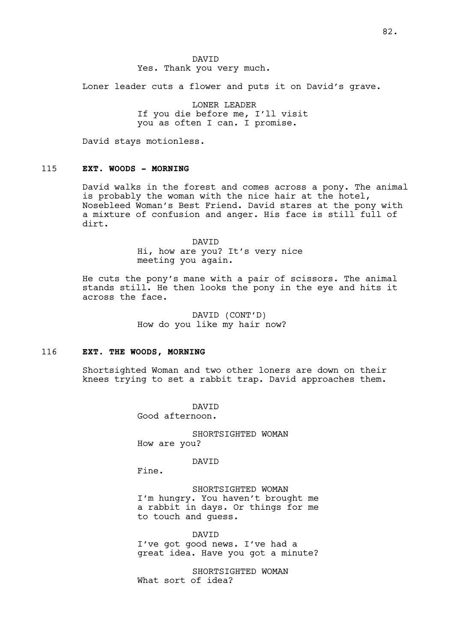DAVID Yes. Thank you very much.

Loner leader cuts a flower and puts it on David's grave.

LONER LEADER If you die before me, I'll visit you as often I can. I promise.

David stays motionless.

### 115 **EXT. WOODS - MORNING**

David walks in the forest and comes across a pony. The animal is probably the woman with the nice hair at the hotel, Nosebleed Woman's Best Friend. David stares at the pony with a mixture of confusion and anger. His face is still full of dirt.

## DAVID Hi, how are you? It's very nice meeting you again.

He cuts the pony's mane with a pair of scissors. The animal stands still. He then looks the pony in the eye and hits it across the face.

> DAVID (CONT'D) How do you like my hair now?

#### 116 **EXT. THE WOODS, MORNING**

Shortsighted Woman and two other loners are down on their knees trying to set a rabbit trap. David approaches them.

> DAVID Good afternoon.

SHORTSIGHTED WOMAN How are you?

DAVID

Fine.

SHORTSIGHTED WOMAN I'm hungry. You haven't brought me a rabbit in days. Or things for me to touch and guess.

DAVID I've got good news. I've had a great idea. Have you got a minute?

SHORTSIGHTED WOMAN What sort of idea?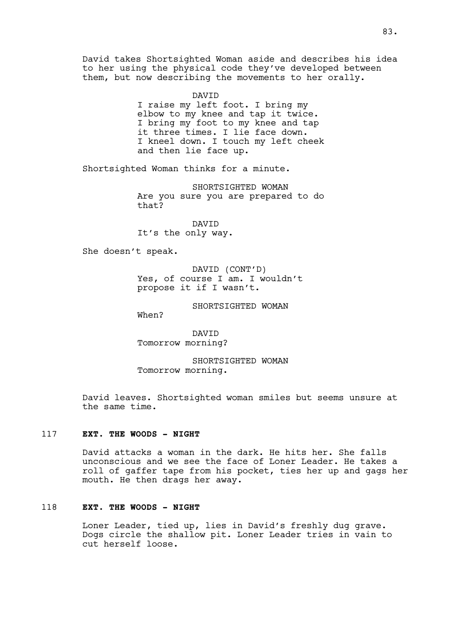David takes Shortsighted Woman aside and describes his idea to her using the physical code they've developed between them, but now describing the movements to her orally.

> DAVID I raise my left foot. I bring my elbow to my knee and tap it twice. I bring my foot to my knee and tap it three times. I lie face down. I kneel down. I touch my left cheek and then lie face up.

Shortsighted Woman thinks for a minute.

SHORTSIGHTED WOMAN Are you sure you are prepared to do that?

DAVID It's the only way.

She doesn't speak.

DAVID (CONT'D) Yes, of course I am. I wouldn't propose it if I wasn't.

SHORTSIGHTED WOMAN

When?

DAVID Tomorrow morning?

SHORTSIGHTED WOMAN Tomorrow morning.

David leaves. Shortsighted woman smiles but seems unsure at the same time.

#### 117 **EXT. THE WOODS - NIGHT**

David attacks a woman in the dark. He hits her. She falls unconscious and we see the face of Loner Leader. He takes a roll of gaffer tape from his pocket, ties her up and gags her mouth. He then drags her away.

## 118 **EXT. THE WOODS - NIGHT**

Loner Leader, tied up, lies in David's freshly dug grave. Dogs circle the shallow pit. Loner Leader tries in vain to cut herself loose.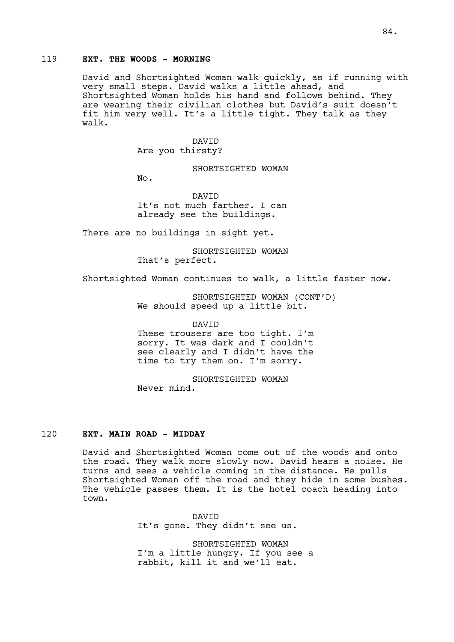## 119 **EXT. THE WOODS - MORNING**

David and Shortsighted Woman walk quickly, as if running with very small steps. David walks a little ahead, and Shortsighted Woman holds his hand and follows behind. They are wearing their civilian clothes but David's suit doesn't fit him very well. It's a little tight. They talk as they walk.

# DAVID

Are you thirsty?

SHORTSIGHTED WOMAN

No.

DAVID It's not much farther. I can already see the buildings.

There are no buildings in sight yet.

SHORTSIGHTED WOMAN That's perfect.

Shortsighted Woman continues to walk, a little faster now.

SHORTSIGHTED WOMAN (CONT'D) We should speed up a little bit.

DAVID

These trousers are too tight. I'm sorry. It was dark and I couldn't see clearly and I didn't have the time to try them on. I'm sorry.

SHORTSIGHTED WOMAN Never mind.

# 120 **EXT. MAIN ROAD - MIDDAY**

David and Shortsighted Woman come out of the woods and onto the road. They walk more slowly now. David hears a noise. He turns and sees a vehicle coming in the distance. He pulls Shortsighted Woman off the road and they hide in some bushes. The vehicle passes them. It is the hotel coach heading into town.

> **DAVTD** It's gone. They didn't see us.

SHORTSIGHTED WOMAN I'm a little hungry. If you see a rabbit, kill it and we'll eat.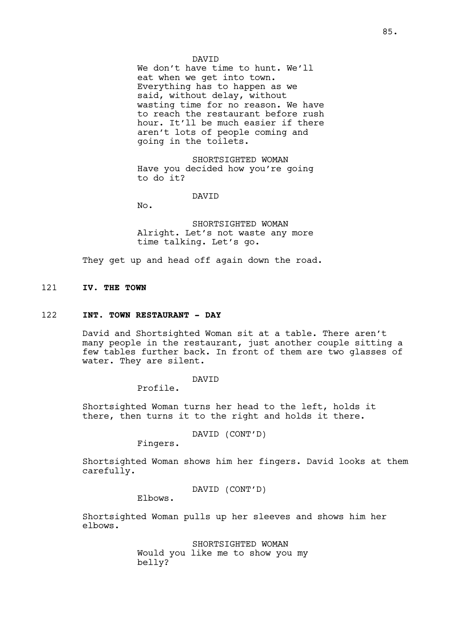#### DAVID

We don't have time to hunt. We'll eat when we get into town. Everything has to happen as we said, without delay, without wasting time for no reason. We have to reach the restaurant before rush hour. It'll be much easier if there aren't lots of people coming and going in the toilets.

SHORTSIGHTED WOMAN Have you decided how you're going to do it?

#### DAVID

No.

SHORTSIGHTED WOMAN Alright. Let's not waste any more time talking. Let's go.

They get up and head off again down the road.

## 121 **IV. THE TOWN**

### 122 **INT. TOWN RESTAURANT - DAY**

David and Shortsighted Woman sit at a table. There aren't many people in the restaurant, just another couple sitting a few tables further back. In front of them are two glasses of water. They are silent.

## DAVID

Profile.

Shortsighted Woman turns her head to the left, holds it there, then turns it to the right and holds it there.

DAVID (CONT'D)

Fingers.

Shortsighted Woman shows him her fingers. David looks at them carefully.

DAVID (CONT'D)

Elbows.

Shortsighted Woman pulls up her sleeves and shows him her elbows.

> SHORTSIGHTED WOMAN Would you like me to show you my belly?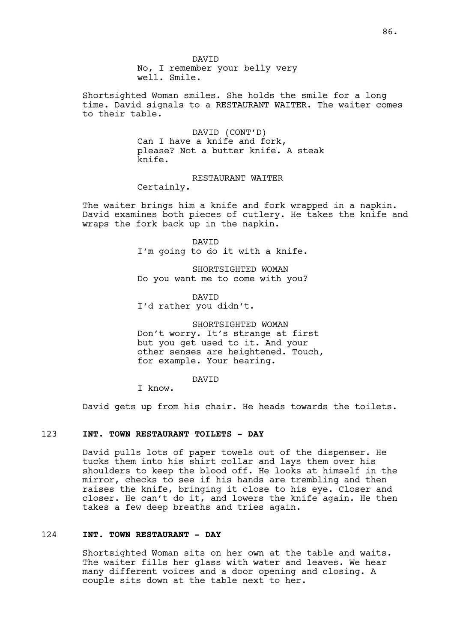DAVID No, I remember your belly very well. Smile.

Shortsighted Woman smiles. She holds the smile for a long time. David signals to a RESTAURANT WAITER. The waiter comes to their table.

> DAVID (CONT'D) Can I have a knife and fork, please? Not a butter knife. A steak knife.

> > RESTAURANT WAITER

Certainly.

The waiter brings him a knife and fork wrapped in a napkin. David examines both pieces of cutlery. He takes the knife and wraps the fork back up in the napkin.

> DAVID I'm going to do it with a knife.

> SHORTSIGHTED WOMAN Do you want me to come with you?

DAVID I'd rather you didn't.

SHORTSIGHTED WOMAN Don't worry. It's strange at first but you get used to it. And your other senses are heightened. Touch, for example. Your hearing.

DAVID

I know.

David gets up from his chair. He heads towards the toilets.

### 123 **INT. TOWN RESTAURANT TOILETS - DAY**

David pulls lots of paper towels out of the dispenser. He tucks them into his shirt collar and lays them over his shoulders to keep the blood off. He looks at himself in the mirror, checks to see if his hands are trembling and then raises the knife, bringing it close to his eye. Closer and closer. He can't do it, and lowers the knife again. He then takes a few deep breaths and tries again.

### 124 **INT. TOWN RESTAURANT - DAY**

Shortsighted Woman sits on her own at the table and waits. The waiter fills her glass with water and leaves. We hear many different voices and a door opening and closing. A couple sits down at the table next to her.